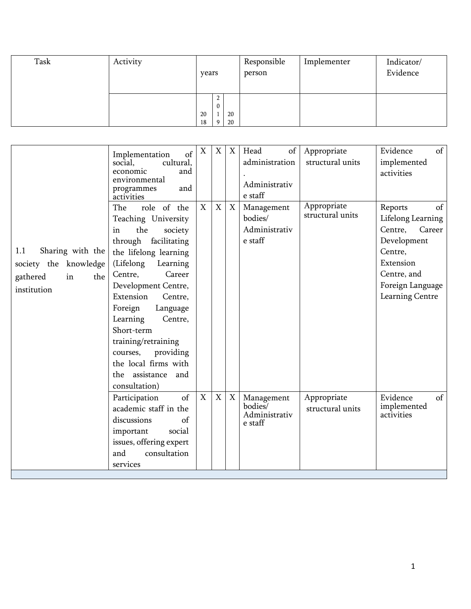| Task | Activity |          | years  |          | Responsible<br>person | Implementer | Indicator/<br>Evidence |
|------|----------|----------|--------|----------|-----------------------|-------------|------------------------|
|      |          | 20<br>18 | ∸<br>0 | 20<br>20 |                       |             |                        |

|                                                                                          | of<br>Implementation<br>cultural,<br>social,<br>economic<br>and<br>environmental<br>and<br>programmes<br>activities                                                                                                                                                                                                                                                                           | $\mathbf X$ | X           | X           | of<br>Head<br>administration<br>Administrativ<br>e staff                  | Appropriate<br>structural units | of<br>Evidence<br>implemented<br>activities                                                                                                          |
|------------------------------------------------------------------------------------------|-----------------------------------------------------------------------------------------------------------------------------------------------------------------------------------------------------------------------------------------------------------------------------------------------------------------------------------------------------------------------------------------------|-------------|-------------|-------------|---------------------------------------------------------------------------|---------------------------------|------------------------------------------------------------------------------------------------------------------------------------------------------|
| Sharing with the<br>1.1<br>society the knowledge<br>gathered<br>in<br>the<br>institution | role of the<br>The<br>Teaching University<br>the<br>society<br>in<br>through facilitating<br>the lifelong learning<br>(Lifelong<br>Learning<br>Centre,<br>Career<br>Development Centre,<br>Extension<br>Centre,<br>Foreign<br>Language<br>Learning<br>Centre,<br>Short-term<br>training/retraining<br>providing<br>courses,<br>the local firms with<br>the assistance<br>and<br>consultation) | $\mathbf X$ | X           | $\mathbf X$ | Management<br>bodies/<br>Administrativ<br>$\boldsymbol{\mathsf{e}}$ staff | Appropriate<br>structural units | of<br>Reports<br>Lifelong Learning<br>Centre,<br>Career<br>Development<br>Centre,<br>Extension<br>Centre, and<br>Foreign Language<br>Learning Centre |
|                                                                                          | of<br>Participation<br>academic staff in the<br>discussions<br>of<br>important<br>social<br>issues, offering expert<br>consultation<br>and<br>services                                                                                                                                                                                                                                        | X           | $\mathbf X$ | $\mathbf X$ | Management<br>bodies/<br>Administrativ<br>e staff                         | Appropriate<br>structural units | Evidence<br>of<br>implemented<br>activities                                                                                                          |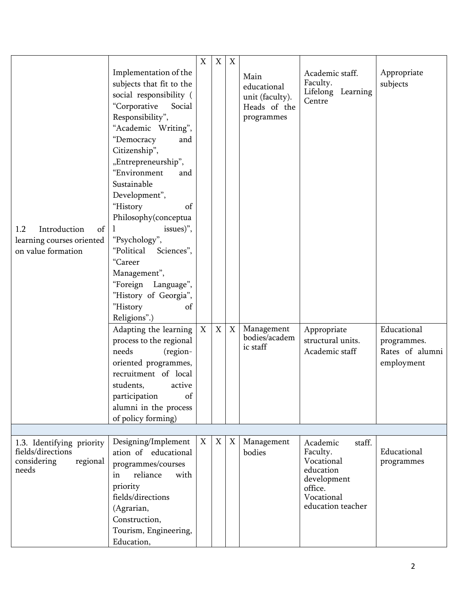| Introduction<br>1.2<br>of<br>learning courses oriented<br>on value formation       | Implementation of the<br>subjects that fit to the<br>social responsibility (<br>"Corporative<br>Social<br>Responsibility",<br>"Academic Writing",<br>"Democracy<br>and<br>Citizenship",<br>"Entrepreneurship",<br>"Environment<br>and<br>Sustainable<br>Development",<br>"History<br>of<br>Philosophy(conceptua<br>issues)",<br>$\perp$<br>"Psychology",<br>"Political Sciences",<br>"Career<br>Management",<br>"Foreign<br>Language",<br>"History of Georgia",<br>"History<br>of<br>Religions".)<br>Adapting the learning<br>process to the regional<br>needs<br>(region- | X<br>$\mathbf X$ | X<br>$\boldsymbol{\mathrm{X}}$ | X<br>$\mathbf X$ | Main<br>educational<br>unit (faculty).<br>Heads of the<br>programmes<br>Management<br>bodies/academ<br>ic staff | Academic staff.<br>Faculty.<br>Lifelong Learning<br>Centre<br>Appropriate<br>structural units.<br>Academic staff       | Appropriate<br>subjects<br>Educational<br>programmes.<br>Rates of alumni |
|------------------------------------------------------------------------------------|----------------------------------------------------------------------------------------------------------------------------------------------------------------------------------------------------------------------------------------------------------------------------------------------------------------------------------------------------------------------------------------------------------------------------------------------------------------------------------------------------------------------------------------------------------------------------|------------------|--------------------------------|------------------|-----------------------------------------------------------------------------------------------------------------|------------------------------------------------------------------------------------------------------------------------|--------------------------------------------------------------------------|
|                                                                                    | oriented programmes,<br>recruitment of local<br>students,<br>active<br>of<br>participation<br>alumni in the process<br>of policy forming)                                                                                                                                                                                                                                                                                                                                                                                                                                  |                  |                                |                  |                                                                                                                 |                                                                                                                        | employment                                                               |
|                                                                                    |                                                                                                                                                                                                                                                                                                                                                                                                                                                                                                                                                                            |                  |                                |                  |                                                                                                                 |                                                                                                                        |                                                                          |
| 1.3. Identifying priority<br>fields/directions<br>regional<br>considering<br>needs | Designing/Implement<br>ation of educational<br>programmes/courses<br>reliance<br>with<br>in<br>priority<br>fields/directions<br>(Agrarian,<br>Construction,<br>Tourism, Engineering,<br>Education,                                                                                                                                                                                                                                                                                                                                                                         | X                | X                              | X                | Management<br>bodies                                                                                            | Academic<br>staff.<br>Faculty.<br>Vocational<br>education<br>development<br>office.<br>Vocational<br>education teacher | Educational<br>programmes                                                |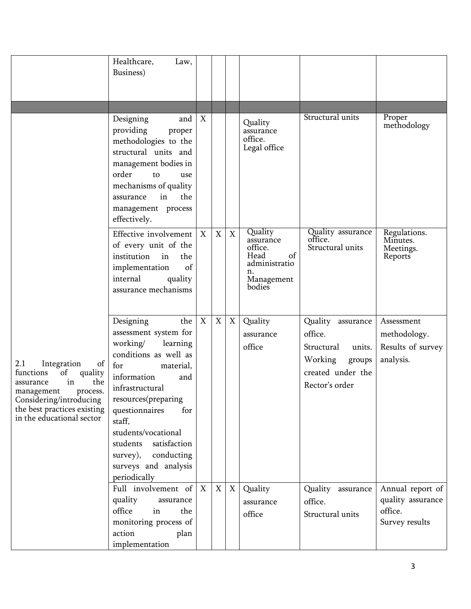|                                                                                                                                                                                                   | Healthcare,<br>Law,<br>Business)                                                                                                                                                                                                                                                                                                       |                  |             |                   |                                                                                              |                                                                                                                     |                                                                    |
|---------------------------------------------------------------------------------------------------------------------------------------------------------------------------------------------------|----------------------------------------------------------------------------------------------------------------------------------------------------------------------------------------------------------------------------------------------------------------------------------------------------------------------------------------|------------------|-------------|-------------------|----------------------------------------------------------------------------------------------|---------------------------------------------------------------------------------------------------------------------|--------------------------------------------------------------------|
|                                                                                                                                                                                                   |                                                                                                                                                                                                                                                                                                                                        |                  |             |                   |                                                                                              |                                                                                                                     |                                                                    |
|                                                                                                                                                                                                   | Designing<br>and<br>providing<br>proper<br>methodologies to the<br>structural units and<br>management bodies in<br>order<br>to<br>use<br>mechanisms of quality<br>in<br>the<br>assurance<br>management process<br>effectively.                                                                                                         | $\boldsymbol{X}$ |             |                   | Quality<br>assurance<br>office.<br>Legal office                                              | Structural units                                                                                                    | Proper<br>methodology                                              |
|                                                                                                                                                                                                   | Effective involvement<br>of every unit of the<br>institution<br>the<br>in<br>implementation<br>of<br>internal<br>quality<br>assurance mechanisms                                                                                                                                                                                       | $\boldsymbol{X}$ | X           | $\mathbf X$       | Quality<br>assurance<br>office.<br>of<br>Head<br>administratio<br>n.<br>Management<br>bodies | Quality assurance<br>office.<br>Structural units                                                                    | Regulations.<br>Minutes.<br>Meetings.<br>Reports                   |
| 2.1<br>Integration<br>of<br>of<br>functions<br>quality<br>in<br>the<br>assurance<br>process.<br>management<br>Considering/introducing<br>the best practices existing<br>in the educational sector | the<br>Designing<br>assessment system for<br>working/<br>learning<br>conditions as well as<br>for<br>material,<br>information<br>and<br>infrastructural<br>resources(preparing<br>questionnaires<br>for<br>staff,<br>students/vocational<br>satisfaction<br>students<br>conducting<br>survey),<br>surveys and analysis<br>periodically | $\boldsymbol{X}$ | X           | X                 | Quality<br>assurance<br>office                                                               | Quality<br>assurance<br>office.<br>Structural<br>units.<br>Working<br>groups<br>created under the<br>Rector's order | Assessment<br>methodology.<br>Results of survey<br>analysis.       |
|                                                                                                                                                                                                   | Full involvement of<br>quality<br>assurance<br>office<br>the<br>in<br>monitoring process of<br>action<br>plan<br>implementation                                                                                                                                                                                                        | $\mathbf{X}$     | $\mathbf X$ | $X_{\mathcal{I}}$ | Quality<br>assurance<br>office                                                               | Quality assurance<br>office.<br>Structural units                                                                    | Annual report of<br>quality assurance<br>office.<br>Survey results |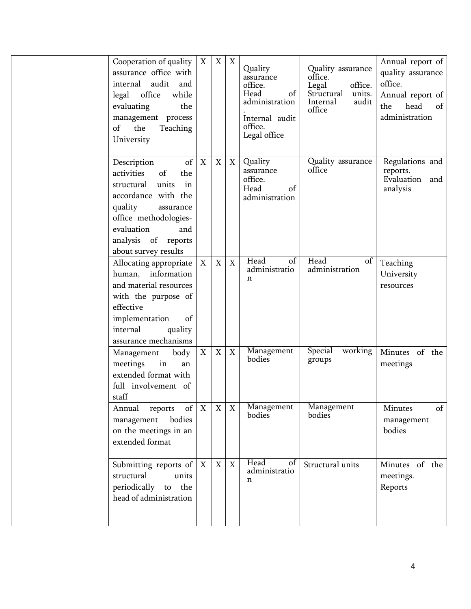| Cooperation of quality<br>assurance office with<br>internal<br>audit<br>and<br>office<br>legal<br>while<br>the<br>evaluating<br>management process<br>the<br>of<br>Teaching<br>University                             | $\boldsymbol{\mathrm{X}}$ | X                         | $\boldsymbol{\mathrm{X}}$ | Quality<br>assurance<br>office.<br>Head<br>of<br>administration<br>Internal audit<br>office.<br>Legal office | Quality assurance<br>office.<br>office.<br>Legal<br>Structural<br>units.<br>Internal<br>audit<br>office | Annual report of<br>quality assurance<br>office.<br>Annual report of<br>head<br>the<br>of<br>administration |
|-----------------------------------------------------------------------------------------------------------------------------------------------------------------------------------------------------------------------|---------------------------|---------------------------|---------------------------|--------------------------------------------------------------------------------------------------------------|---------------------------------------------------------------------------------------------------------|-------------------------------------------------------------------------------------------------------------|
| of<br>Description<br>activities<br>of<br>the<br>units<br>in<br>structural<br>accordance with the<br>quality<br>assurance<br>office methodologies-<br>evaluation<br>and<br>analysis of reports<br>about survey results | $\boldsymbol{X}$          | $\mathbf X$               | X                         | Quality<br>assurance<br>office.<br>Head<br>of<br>administration                                              | Quality assurance<br>office                                                                             | Regulations and<br>reports.<br>Evaluation<br>and<br>analysis                                                |
| Allocating appropriate<br>human, information<br>and material resources<br>with the purpose of<br>effective<br>implementation<br>of<br>internal<br>quality<br>assurance mechanisms                                     | $\boldsymbol{\mathrm{X}}$ | $\mathbf X$               | X                         | Head<br>$\overline{of}$<br>administratio<br>$\mathbf n$                                                      | Head<br>of<br>administration                                                                            | Teaching<br>University<br>resources                                                                         |
| Management<br>body<br>meetings<br>in<br>an<br>extended format with<br>full involvement of<br>staff                                                                                                                    | X                         | $\boldsymbol{\mathrm{X}}$ | X                         | Management<br>bodies                                                                                         | Special<br>working<br>groups                                                                            | Minutes of the<br>meetings                                                                                  |
| of<br>Annual<br>reports<br>bodies<br>management<br>on the meetings in an<br>extended format                                                                                                                           | $\mathbf X$               | X                         | X                         | Management<br>bodies                                                                                         | Management<br>bodies                                                                                    | of<br>Minutes<br>management<br>bodies                                                                       |
| Submitting reports of<br>structural<br>units<br>periodically to the<br>head of administration                                                                                                                         | $\mathbf X$               | $\mathbf X$               | $\mathbf X$               | Head<br>of<br>administratio<br>$\mathbf n$                                                                   | Structural units                                                                                        | Minutes of the<br>meetings.<br>Reports                                                                      |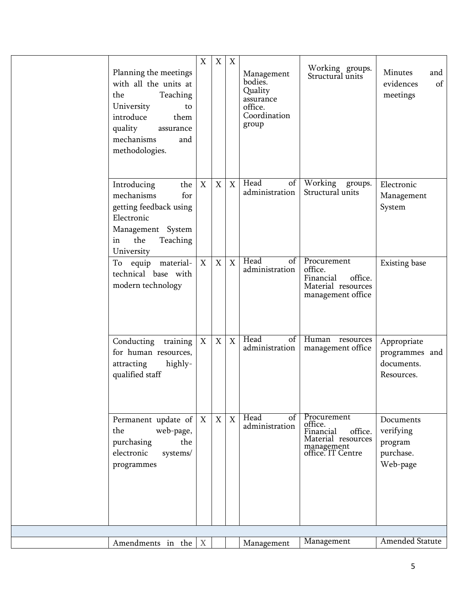| Planning the meetings<br>with all the units at<br>the<br>Teaching<br>University<br>to<br>introduce<br>them<br>quality<br>assurance<br>mechanisms<br>and<br>methodologies. | X                         | X           | X | Management<br>bodies.<br>Quality<br>assurance<br>office.<br>Coordination<br>group | Working groups.<br>Structural units                                                                     | Minutes<br>and<br>evidences<br>of<br>meetings              |
|---------------------------------------------------------------------------------------------------------------------------------------------------------------------------|---------------------------|-------------|---|-----------------------------------------------------------------------------------|---------------------------------------------------------------------------------------------------------|------------------------------------------------------------|
| the<br>Introducing<br>mechanisms<br>for<br>getting feedback using<br>Electronic<br>Management System<br>the<br>Teaching<br>in<br>University                               | $\boldsymbol{\mathrm{X}}$ | $\mathbf X$ | X | Head<br>of<br>administration                                                      | Working<br>groups.<br>Structural units                                                                  | Electronic<br>Management<br>System                         |
| To equip material-<br>technical base with<br>modern technology                                                                                                            | X                         | $\mathbf X$ | X | Head<br>$\overline{\text{of}}$<br>administration                                  | Procurement<br>office.<br>Financial<br>office.<br>Material resources<br>management office               | <b>Existing</b> base                                       |
| Conducting<br>training<br>for human resources,<br>highly-<br>attracting<br>qualified staff                                                                                | $\boldsymbol{\mathrm{X}}$ | $\mathbf X$ | X | Head<br>$\overline{of}$<br>administration                                         | Human<br>resources<br>management office                                                                 | Appropriate<br>programmes and<br>documents.<br>Resources.  |
| Permanent update of $ X $<br>web-page,<br>the<br>the<br>purchasing<br>electronic<br>systems/<br>programmes                                                                |                           | X           | X | Head<br>of<br>administration                                                      | Procurement<br>office.<br>Financial<br>office.<br>Material resources<br>management<br>office. IT Centre | Documents<br>verifying<br>program<br>purchase.<br>Web-page |
|                                                                                                                                                                           |                           |             |   |                                                                                   |                                                                                                         |                                                            |
| Amendments in the                                                                                                                                                         | $\boldsymbol{X}$          |             |   | Management                                                                        | Management                                                                                              | Amended Statute                                            |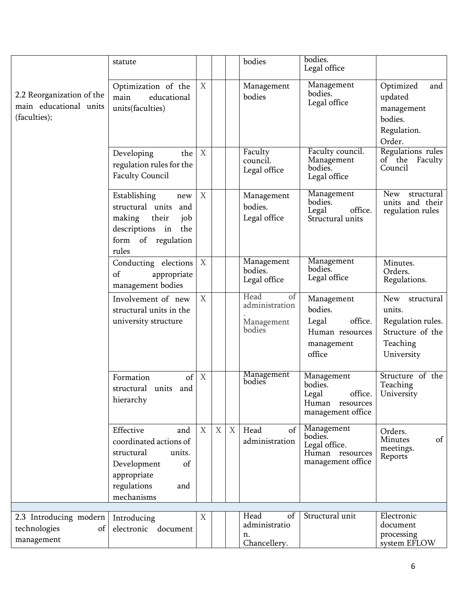|                                                                     | statute                                                                                                                                    |                           |             |                   | bodies                                               | bodies.<br>Legal office                                                              |                                                                                                |
|---------------------------------------------------------------------|--------------------------------------------------------------------------------------------------------------------------------------------|---------------------------|-------------|-------------------|------------------------------------------------------|--------------------------------------------------------------------------------------|------------------------------------------------------------------------------------------------|
| 2.2 Reorganization of the<br>main educational units<br>(faculties); | Optimization of the<br>main<br>educational<br>units(faculties)                                                                             | X                         |             |                   | Management<br>bodies                                 | Management<br>bodies.<br>Legal office                                                | Optimized<br>and<br>updated<br>management<br>bodies.<br>Regulation.<br>Order.                  |
|                                                                     | Developing<br>the<br>regulation rules for the<br><b>Faculty Council</b>                                                                    | $\boldsymbol{X}$          |             |                   | Faculty<br>council.<br>Legal office                  | Faculty council.<br>Management<br>bodies.<br>Legal office                            | Regulations rules<br>of the Faculty<br>Council                                                 |
|                                                                     | Establishing<br>new<br>structural units<br>and<br>making<br>their<br>job<br>descriptions in<br>the<br>form of regulation<br>rules          | X                         |             |                   | Management<br>bodies.<br>Legal office                | Management<br>bodies.<br>Legal<br>office.<br>Structural units                        | <b>New</b><br>structural<br>units and their<br>regulation rules                                |
|                                                                     | Conducting elections<br>of<br>appropriate<br>management bodies                                                                             | $\boldsymbol{\mathrm{X}}$ |             |                   | Management<br>bodies.<br>Legal office                | Management<br>bodies.<br>Legal office                                                | Minutes.<br>Orders.<br>Regulations.                                                            |
|                                                                     | Involvement of new<br>structural units in the<br>university structure                                                                      | X                         |             |                   | Head<br>of<br>administration<br>Management<br>bodies | Management<br>bodies.<br>Legal<br>office.<br>Human resources<br>management<br>office | New<br>structural<br>units.<br>Regulation rules.<br>Structure of the<br>Teaching<br>University |
|                                                                     | of<br>Formation<br>structural units and<br>hierarchy                                                                                       | $\boldsymbol{X}$          |             |                   | Management<br>bodies                                 | Management<br>bodies.<br>office.<br>Legal<br>Human resources<br>management office    | Structure of the<br>Teaching<br>University                                                     |
|                                                                     | Effective<br>and<br>coordinated actions of<br>structural<br>units.<br>Development<br>of<br>appropriate<br>regulations<br>and<br>mechanisms | X                         | $\mathbf X$ | $X_{\mathcal{L}}$ | Head<br>of<br>administration                         | Management<br>bodies.<br>Legal office.<br>Human resources<br>management office       | Orders.<br>of<br>Minutes<br>meetings.<br>Reports                                               |
| 2.3 Introducing modern<br>technologies<br>of<br>management          | Introducing<br>electronic document                                                                                                         | X                         |             |                   | Head<br>of<br>administratio<br>n.<br>Chancellery.    | Structural unit                                                                      | Electronic<br>document<br>processing<br>system EFLOW                                           |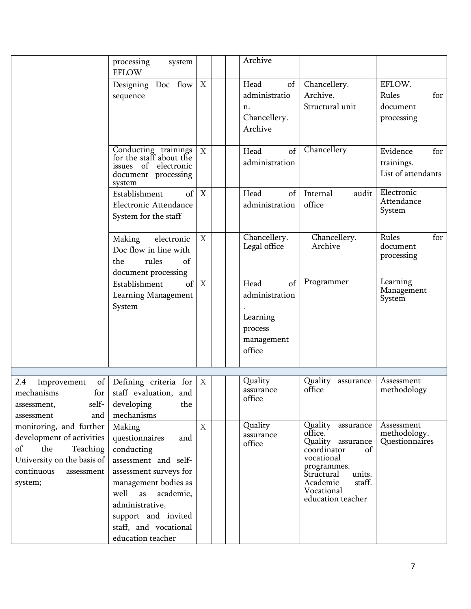|                                                                                                                                                    | processing<br>system<br><b>EFLOW</b>                                                                                                                                                                                                       |                  | Archive                                                      |                                                                                                                                                                                      |                                                     |
|----------------------------------------------------------------------------------------------------------------------------------------------------|--------------------------------------------------------------------------------------------------------------------------------------------------------------------------------------------------------------------------------------------|------------------|--------------------------------------------------------------|--------------------------------------------------------------------------------------------------------------------------------------------------------------------------------------|-----------------------------------------------------|
|                                                                                                                                                    | Designing Doc flow<br>sequence                                                                                                                                                                                                             | X                | Head<br>of<br>administratio<br>n.<br>Chancellery.<br>Archive | Chancellery.<br>Archive.<br>Structural unit                                                                                                                                          | EFLOW.<br>Rules<br>for<br>document<br>processing    |
|                                                                                                                                                    | Conducting trainings<br>for the staff about the<br>issues of electronic<br>document processing<br>system                                                                                                                                   | X                | of<br>Head<br>administration                                 | Chancellery                                                                                                                                                                          | Evidence<br>for<br>trainings.<br>List of attendants |
|                                                                                                                                                    | Establishment<br>of<br>Electronic Attendance<br>System for the staff                                                                                                                                                                       | X                | Head<br>of<br>administration                                 | Internal<br>audit<br>office                                                                                                                                                          | Electronic<br>Attendance<br>System                  |
|                                                                                                                                                    | electronic<br>Making<br>Doc flow in line with<br>rules<br>of<br>the<br>document processing                                                                                                                                                 | X                | Chancellery.<br>Legal office                                 | Chancellery.<br>Archive                                                                                                                                                              | Rules<br>for<br>document<br>processing              |
|                                                                                                                                                    | of<br>Establishment<br>Learning Management<br>System                                                                                                                                                                                       | $\boldsymbol{X}$ | Head<br>of<br>administration<br>Learning<br>process          | Programmer                                                                                                                                                                           | Learning<br>Management<br>System                    |
|                                                                                                                                                    |                                                                                                                                                                                                                                            |                  | management<br>office                                         |                                                                                                                                                                                      |                                                     |
|                                                                                                                                                    |                                                                                                                                                                                                                                            |                  |                                                              |                                                                                                                                                                                      |                                                     |
| of<br>2.4<br>Improvement<br>mechanisms<br>for<br>self-<br>assessment,<br>and<br>assessment                                                         | Defining criteria for<br>staff evaluation, and<br>the<br>developing<br>mechanisms                                                                                                                                                          | X                | Quality<br>assurance<br>office                               | Quality<br>assurance<br>office                                                                                                                                                       | Assessment<br>methodology                           |
| monitoring, and further<br>development of activities<br>of<br>the<br>Teaching<br>University on the basis of<br>continuous<br>assessment<br>system; | Making<br>questionnaires<br>and<br>conducting<br>assessment and self-<br>assessment surveys for<br>management bodies as<br>well<br>academic,<br>as<br>administrative,<br>support and invited<br>staff, and vocational<br>education teacher | X                | Quality<br>assurance<br>office                               | Quality assurance<br>office.<br>Quality assurance<br>coordinator<br>of<br>vocational<br>programmes.<br>Structural<br>units.<br>Academic<br>staff.<br>Vocational<br>education teacher | Assessment<br>methodology.<br>Questionnaires        |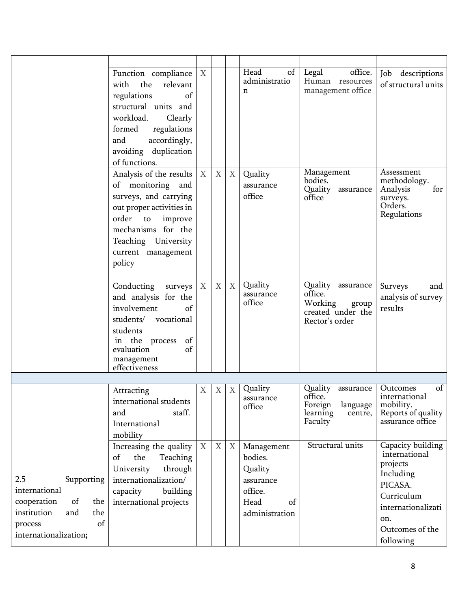|                                                                                                                                       | Function compliance $\mid$ X<br>with the<br>relevant<br>of<br>regulations<br>structural units and<br>workload.<br>Clearly<br>formed<br>regulations<br>accordingly,<br>and<br>avoiding duplication<br>of functions. |             |                           |   | Head<br>of<br>administratio<br>n                                                         | office.<br>Legal<br>Human resources<br>management office                                | Job<br>descriptions<br>of structural units                                                                                                        |
|---------------------------------------------------------------------------------------------------------------------------------------|--------------------------------------------------------------------------------------------------------------------------------------------------------------------------------------------------------------------|-------------|---------------------------|---|------------------------------------------------------------------------------------------|-----------------------------------------------------------------------------------------|---------------------------------------------------------------------------------------------------------------------------------------------------|
|                                                                                                                                       | Analysis of the results $\mid$ X<br>of monitoring and<br>surveys, and carrying<br>out proper activities in<br>order to<br>improve<br>mechanisms for the<br>Teaching University<br>current management<br>policy     |             | $\boldsymbol{\mathrm{X}}$ | X | Quality<br>assurance<br>office                                                           | Management<br>bodies.<br>Quality assurance<br>office                                    | Assessment<br>methodology.<br>Analysis<br>for<br>surveys.<br>Orders.<br>Regulations                                                               |
|                                                                                                                                       | Conducting<br>surveys<br>and analysis for the<br>involvement<br>of<br>students/<br>vocational<br>students<br>in the process<br>of<br>of<br>evaluation<br>management<br>effectiveness                               | X           | X                         | X | Quality<br>assurance<br>office                                                           | Quality assurance<br>office.<br>Working<br>group<br>created under the<br>Rector's order | Surveys<br>and<br>analysis of survey<br>results                                                                                                   |
|                                                                                                                                       | Attracting<br>international students<br>staff.<br>and<br>International<br>mobility                                                                                                                                 | $\mathbf X$ | X                         | X | Quality<br>assurance<br>office                                                           | Quality assurance<br>office.<br>Foreign<br>language<br>learning<br>centre,<br>Faculty   | $\sigma$<br>Outcomes<br>international<br>mobility.<br>Reports of quality<br>assurance office                                                      |
| 2.5<br>Supporting<br>international<br>of<br>cooperation<br>the<br>institution<br>and<br>the<br>of<br>process<br>internationalization; | Increasing the quality<br>of<br>the<br>Teaching<br>University<br>through<br>internationalization/<br>building<br>capacity<br>international projects                                                                | X           | X                         | X | Management<br>bodies.<br>Quality<br>assurance<br>office.<br>Head<br>of<br>administration | Structural units                                                                        | Capacity building<br>international<br>projects<br>Including<br>PICASA.<br>Curriculum<br>internationalizati<br>on.<br>Outcomes of the<br>following |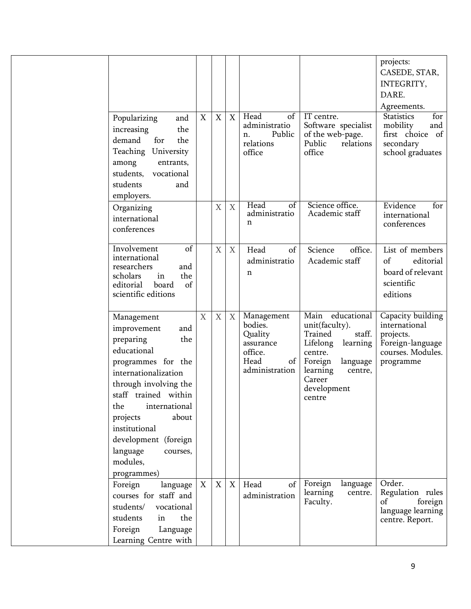|                                                                                                                                                                                                                                                                                                             |                  |                           |             |                                                                                          |                                                                                                                                                                             | projects:<br>CASEDE, STAR,<br>INTEGRITY,<br>DARE.                                                     |
|-------------------------------------------------------------------------------------------------------------------------------------------------------------------------------------------------------------------------------------------------------------------------------------------------------------|------------------|---------------------------|-------------|------------------------------------------------------------------------------------------|-----------------------------------------------------------------------------------------------------------------------------------------------------------------------------|-------------------------------------------------------------------------------------------------------|
|                                                                                                                                                                                                                                                                                                             |                  |                           |             |                                                                                          |                                                                                                                                                                             | Agreements.                                                                                           |
| Popularizing<br>and<br>the<br>increasing<br>demand<br>for<br>the<br>Teaching University<br>among<br>entrants,<br>students,<br>vocational<br>students<br>and                                                                                                                                                 | X                | $\boldsymbol{\mathrm{X}}$ | X           | Head<br>of<br>administratio<br>Public<br>n.<br>relations<br>office                       | IT centre.<br>Software specialist<br>of the web-page.<br>Public<br>relations<br>office                                                                                      | <b>Statistics</b><br>for<br>mobility<br>and<br>first choice<br>- of<br>secondary<br>school graduates  |
| employers.                                                                                                                                                                                                                                                                                                  |                  |                           |             |                                                                                          |                                                                                                                                                                             |                                                                                                       |
| Organizing<br>international<br>conferences                                                                                                                                                                                                                                                                  |                  | X                         | $\mathbf X$ | Head<br>$\overline{of}$<br>administratio<br>n                                            | Science office.<br>Academic staff                                                                                                                                           | Evidence<br>for<br>international<br>conferences                                                       |
| Involvement<br>of<br>international<br>researchers<br>and<br>the<br>scholars<br>in<br>of<br>editorial<br>board<br>scientific editions                                                                                                                                                                        |                  | X                         | X           | Head<br>of<br>administratio<br>n                                                         | Science<br>office.<br>Academic staff                                                                                                                                        | List of members<br>of<br>editorial<br>board of relevant<br>scientific<br>editions                     |
| Management<br>improvement<br>and<br>preparing<br>the<br>educational<br>programmes for the<br>internationalization<br>through involving the<br>staff trained within<br>international<br>the<br>about<br>projects<br>institutional<br>development (foreign<br>language<br>courses,<br>modules,<br>programmes) | $\mathbf X$      | $\mathbf X$               | X           | Management<br>bodies.<br>Quality<br>assurance<br>office.<br>Head<br>of<br>administration | Main educational<br>unit(faculty).<br>Trained<br>staff.<br>Lifelong<br>learning<br>centre.<br>Foreign<br>language<br>learning<br>centre,<br>Career<br>development<br>centre | Capacity building<br>international<br>projects.<br>Foreign-language<br>courses. Modules.<br>programme |
| Foreign<br>language<br>courses for staff and<br>students/<br>vocational<br>students<br>in<br>the<br>Foreign<br>Language<br>Learning Centre with                                                                                                                                                             | $\boldsymbol{X}$ | $\mathbf X$               | X           | Head<br>of<br>administration                                                             | Foreign<br>language<br>learning<br>centre.<br>Faculty.                                                                                                                      | Order.<br>Regulation rules<br>of<br>foreign<br>language learning<br>centre. Report.                   |
|                                                                                                                                                                                                                                                                                                             |                  |                           |             |                                                                                          |                                                                                                                                                                             |                                                                                                       |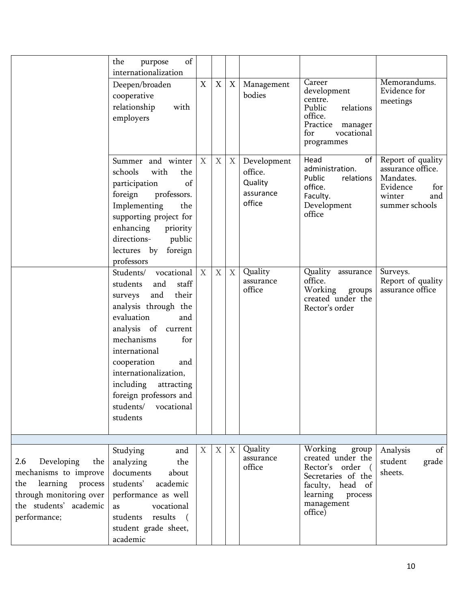|                                                                                                                                                   | of<br>the<br>purpose                                                                                                                                                                                                                                                                                                                |              |                           |   |                                                          |                                                                                                                                                |                                                                                                           |
|---------------------------------------------------------------------------------------------------------------------------------------------------|-------------------------------------------------------------------------------------------------------------------------------------------------------------------------------------------------------------------------------------------------------------------------------------------------------------------------------------|--------------|---------------------------|---|----------------------------------------------------------|------------------------------------------------------------------------------------------------------------------------------------------------|-----------------------------------------------------------------------------------------------------------|
|                                                                                                                                                   | internationalization<br>Deepen/broaden<br>cooperative<br>relationship<br>with<br>employers                                                                                                                                                                                                                                          | $\mathbf X$  | $\mathbf X$               | X | Management<br>bodies                                     | Career<br>development<br>centre.<br>Public<br>relations<br>office.<br>Practice manager<br>for<br>vocational<br>programmes                      | Memorandums.<br>Evidence for<br>meetings                                                                  |
|                                                                                                                                                   | Summer and winter<br>schools<br>with<br>the<br>of<br>participation<br>foreign<br>professors.<br>Implementing<br>the<br>supporting project for<br>enhancing<br>priority<br>directions-<br>public<br>lectures by foreign<br>professors                                                                                                | X            | X                         | X | Development<br>office.<br>Quality<br>assurance<br>office | Head<br>of<br>administration.<br>Public<br>relations<br>office.<br>Faculty.<br>Development<br>office                                           | Report of quality<br>assurance office.<br>Mandates.<br>Evidence<br>for<br>winter<br>and<br>summer schools |
|                                                                                                                                                   | Students/<br>vocational<br>students<br>and<br>staff<br>and<br>their<br>surveys<br>analysis through the<br>evaluation<br>and<br>analysis of current<br>mechanisms<br>for<br>international<br>cooperation<br>and<br>internationalization,<br>including<br>attracting<br>foreign professors and<br>vocational<br>students/<br>students | $\mathbf{X}$ | $\boldsymbol{\mathrm{X}}$ | X | Quality<br>assurance<br>office                           | Quality assurance<br>office.<br>Working<br>groups<br>created under the<br>Rector's order                                                       | Surveys.<br>Report of quality<br>assurance office                                                         |
| Developing<br>2.6<br>the<br>mechanisms to improve<br>learning process<br>the<br>through monitoring over<br>the students' academic<br>performance; | Studying<br>and<br>analyzing<br>the<br>documents<br>about<br>students'<br>academic<br>performance as well<br>as<br>vocational<br>students results<br>$\sqrt{2}$<br>student grade sheet,<br>academic                                                                                                                                 | X            | X                         | X | Quality<br>assurance<br>office                           | Working<br>group<br>created under the<br>Rector's order<br>Secretaries of the<br>faculty, head of<br>learning process<br>management<br>office) | Analysis<br>of<br>student<br>grade<br>sheets.                                                             |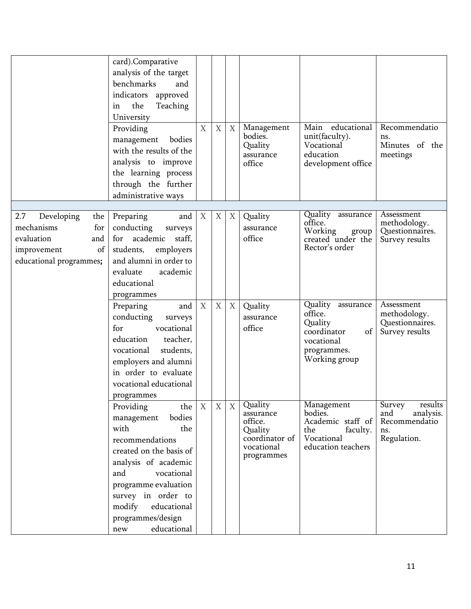|                                                                                                                    | card).Comparative<br>analysis of the target<br>benchmarks<br>and<br>indicators approved<br>the<br>Teaching<br>in<br>University<br>Providing<br>bodies<br>management<br>with the results of the<br>analysis to improve<br>the learning process<br>through the further<br>administrative ways | $\mathbf X$      | $\overline{X}$   | $\mathbf{X}$ | Management<br>bodies.<br>Quality<br>assurance<br>office                                  | Main<br>educational<br>unit(faculty).<br>Vocational<br>education<br>development office                     | Recommendatio<br>ns.<br>Minutes of the<br>meetings                           |
|--------------------------------------------------------------------------------------------------------------------|---------------------------------------------------------------------------------------------------------------------------------------------------------------------------------------------------------------------------------------------------------------------------------------------|------------------|------------------|--------------|------------------------------------------------------------------------------------------|------------------------------------------------------------------------------------------------------------|------------------------------------------------------------------------------|
|                                                                                                                    |                                                                                                                                                                                                                                                                                             |                  |                  |              |                                                                                          |                                                                                                            |                                                                              |
| 2.7<br>Developing<br>the<br>mechanisms<br>for<br>evaluation<br>and<br>improvement<br>of<br>educational programmes; | Preparing<br>and<br>conducting<br>surveys<br>academic<br>staff,<br>for<br>students,<br>employers<br>and alumni in order to<br>academic<br>evaluate<br>educational<br>programmes                                                                                                             | $\boldsymbol{X}$ | X                | X            | Quality<br>assurance<br>office                                                           | Quality assurance<br>office.<br>Working<br>group<br>created under the<br>Rector's order                    | Assessment<br>methodology.<br>Questionnaires.<br>Survey results              |
|                                                                                                                    | Preparing<br>and<br>conducting<br>surveys<br>vocational<br>for<br>education<br>teacher,<br>students,<br>vocational<br>employers and alumni<br>in order to evaluate<br>vocational educational<br>programmes                                                                                  | $\boldsymbol{X}$ | $\mathbf X$      | X            | Quality<br>assurance<br>office                                                           | Quality assurance<br>office.<br>Quality<br>coordinator<br>of<br>vocational<br>programmes.<br>Working group | Assessment<br>methodology.<br>Questionnaires.<br>Survey results              |
|                                                                                                                    | Providing<br>the<br>bodies<br>management<br>with<br>the<br>recommendations<br>created on the basis of<br>analysis of academic<br>and<br>vocational<br>programme evaluation<br>survey in order to<br>modify<br>educational<br>programmes/design<br>educational<br>new                        | X                | $\boldsymbol{X}$ | X            | Quality<br>assurance<br>office.<br>Quality<br>coordinator of<br>vocational<br>programmes | Management<br>bodies.<br>Academic staff of<br>the<br>faculty.<br>Vocational<br>education teachers          | Survey<br>results<br>analysis.<br>and<br>Recommendatio<br>ns.<br>Regulation. |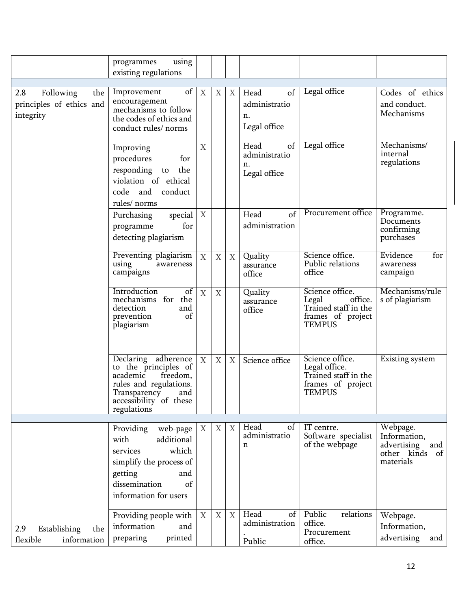|                                                                  | using<br>programmes<br>existing regulations                                                                                                                   |                  |                  |   |                                                   |                                                                                                   |                                                                                  |
|------------------------------------------------------------------|---------------------------------------------------------------------------------------------------------------------------------------------------------------|------------------|------------------|---|---------------------------------------------------|---------------------------------------------------------------------------------------------------|----------------------------------------------------------------------------------|
| 2.8<br>Following<br>the<br>principles of ethics and<br>integrity | of<br>Improvement<br>encouragement<br>mechanisms to follow<br>the codes of ethics and<br>conduct rules/norms                                                  | X                | X                | X | of<br>Head<br>administratio<br>n.<br>Legal office | Legal office                                                                                      | Codes of ethics<br>and conduct.<br>Mechanisms                                    |
|                                                                  | Improving<br>procedures<br>for<br>responding<br>the<br>to<br>violation of ethical<br>code and<br>conduct<br>rules/ norms                                      | X                |                  |   | Head<br>of<br>administratio<br>n.<br>Legal office | Legal office                                                                                      | Mechanisms/<br>internal<br>regulations                                           |
|                                                                  | special<br>Purchasing<br>for<br>programme<br>detecting plagiarism                                                                                             | $\boldsymbol{X}$ |                  |   | $\sigma$ f<br>Head<br>administration              | Procurement office                                                                                | Programme.<br>Documents<br>confirming<br>purchases                               |
|                                                                  | Preventing plagiarism<br>using<br>awareness<br>campaigns                                                                                                      | X                | $\mathbf X$      | X | Quality<br>assurance<br>office                    | Science office.<br>Public relations<br>office                                                     | Evidence<br>for<br>awareness<br>campaign                                         |
|                                                                  | Introduction<br>$\sigma$ f<br>mechanisms for the<br>detection<br>and<br>prevention<br>of<br>plagiarism                                                        | $\boldsymbol{X}$ | $\mathbf X$      |   | Quality<br>assurance<br>office                    | Science office.<br>office.<br>Legal<br>Trained staff in the<br>frames of project<br><b>TEMPUS</b> | Mechanisms/rule<br>s of plagiarism                                               |
|                                                                  | Declaring adherence<br>to the principles of<br>academic<br>freedom,<br>rules and regulations.<br>Transparency<br>and<br>accessibility of these<br>regulations | X                | $\mathbf X$      | X | Science office                                    | Science office.<br>Legal office.<br>Trained staff in the<br>frames of project<br><b>TEMPUS</b>    | Existing system                                                                  |
|                                                                  | Providing<br>web-page<br>additional<br>with<br>which<br>services<br>simplify the process of<br>getting<br>and<br>dissemination<br>of<br>information for users | $\boldsymbol{X}$ | $\boldsymbol{X}$ | X | Head<br>of<br>administratio<br>$\mathbf n$        | IT centre.<br>Software specialist<br>of the webpage                                               | Webpage.<br>Information,<br>advertising<br>and<br>other kinds<br>of<br>materials |
| 2.9<br>Establishing<br>the<br>flexible<br>information            | Providing people with<br>information<br>and<br>preparing<br>printed                                                                                           | X                | $\boldsymbol{X}$ | X | Head<br>of<br>administration<br>Public            | Public<br>relations<br>office.<br>Procurement<br>office.                                          | Webpage.<br>Information,<br>advertising<br>and                                   |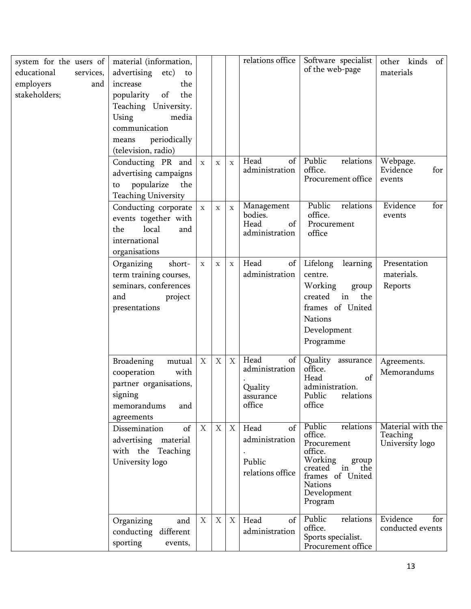| system for the users of<br>educational<br>services,<br>employers<br>and<br>stakeholders; | material (information,<br>advertising<br>etc)<br>to<br>the<br>increase<br>popularity<br>of<br>the<br>Teaching University.<br>Using<br>media<br>communication<br>periodically<br>means<br>(television, radio) |                  |             |             | relations office                                               | Software specialist<br>of the web-page                                                                                                                            | other kinds<br>$\circ$ f<br>materials            |
|------------------------------------------------------------------------------------------|--------------------------------------------------------------------------------------------------------------------------------------------------------------------------------------------------------------|------------------|-------------|-------------|----------------------------------------------------------------|-------------------------------------------------------------------------------------------------------------------------------------------------------------------|--------------------------------------------------|
|                                                                                          | Conducting PR and<br>advertising campaigns<br>popularize<br>the<br>to<br><b>Teaching University</b>                                                                                                          | $\mathbf X$      | $\mathbf X$ | $\mathbf X$ | Head<br>of<br>administration                                   | Public<br>relations<br>office.<br>Procurement office                                                                                                              | Webpage.<br>Evidence<br>for<br>events            |
|                                                                                          | Conducting corporate<br>events together with<br>local<br>the<br>and<br>international<br>organisations                                                                                                        | $\mathbf X$      | $\mathbf X$ | $\mathbf X$ | Management<br>bodies.<br>Head<br>of<br>administration          | Public<br>relations<br>office.<br>Procurement<br>office                                                                                                           | Evidence<br>for<br>events                        |
|                                                                                          | Organizing<br>short-<br>term training courses,<br>seminars, conferences<br>and<br>project<br>presentations                                                                                                   | $\mathbf X$      | $\mathbf X$ | $\mathbf X$ | Head<br>of<br>administration                                   | Lifelong<br>learning<br>centre.<br>Working<br>group<br>created<br>in<br>the<br>frames of United<br><b>Nations</b><br>Development<br>Programme                     | Presentation<br>materials.<br>Reports            |
|                                                                                          | <b>Broadening</b><br>mutual<br>cooperation<br>with<br>partner organisations,<br>signing<br>memorandums<br>and<br>agreements                                                                                  | $\mathbf X$      | $\mathbf X$ | X           | Head<br>of<br>administration<br>Quality<br>assurance<br>office | Quality assurance<br>office.<br>of<br>Head<br>administration.<br>Public<br>relations<br>office                                                                    | Agreements.<br>Memorandums                       |
|                                                                                          | of<br>Dissemination<br>advertising material<br>with the Teaching<br>University logo                                                                                                                          | $\boldsymbol{X}$ | X           | X           | of<br>Head<br>administration<br>Public<br>relations office     | Public<br>relations<br>office.<br>Procurement<br>office.<br>Working<br>group<br>created in<br>the<br>frames of United<br><b>Nations</b><br>Development<br>Program | Material with the<br>Teaching<br>University logo |
|                                                                                          | Organizing<br>and<br>conducting different<br>sporting<br>events,                                                                                                                                             | X                | $\mathbf X$ | X           | Head<br>of<br>administration                                   | Public<br>relations<br>office.<br>Sports specialist.<br>Procurement office                                                                                        | Evidence<br>for<br>conducted events              |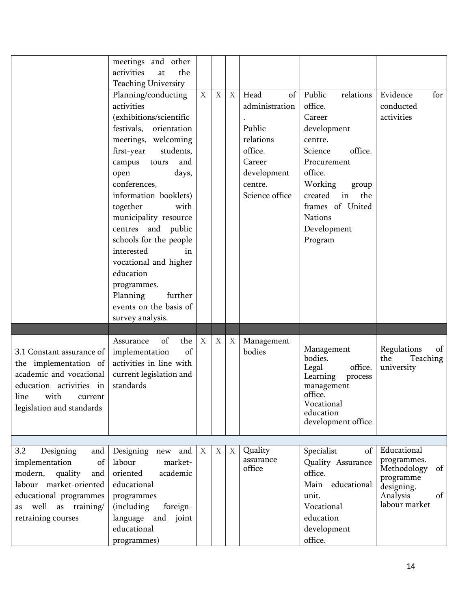|                                                    | meetings and other<br>the<br>activities<br>at |   |                  |   |                      |                                   |                          |
|----------------------------------------------------|-----------------------------------------------|---|------------------|---|----------------------|-----------------------------------|--------------------------|
|                                                    | <b>Teaching University</b>                    |   |                  |   |                      |                                   |                          |
|                                                    | Planning/conducting                           | X | $\boldsymbol{X}$ | X | Head<br>of           | Public<br>relations               | Evidence<br>for          |
|                                                    | activities                                    |   |                  |   | administration       | office.                           | conducted                |
|                                                    | (exhibitions/scientific                       |   |                  |   |                      | Career                            | activities               |
|                                                    | festivals, orientation                        |   |                  |   | Public               | development                       |                          |
|                                                    | meetings, welcoming                           |   |                  |   | relations            | centre.                           |                          |
|                                                    | first-year<br>students,                       |   |                  |   | office.              | office.<br>Science                |                          |
|                                                    | campus tours<br>and                           |   |                  |   | Career               | Procurement                       |                          |
|                                                    | open<br>days,                                 |   |                  |   | development          | office.                           |                          |
|                                                    | conferences,                                  |   |                  |   | centre.              | Working<br>group                  |                          |
|                                                    | information booklets)                         |   |                  |   | Science office       | created<br>in<br>the              |                          |
|                                                    | together<br>with                              |   |                  |   |                      | frames of United                  |                          |
|                                                    | municipality resource                         |   |                  |   |                      | <b>Nations</b>                    |                          |
|                                                    | centres and public                            |   |                  |   |                      | Development                       |                          |
|                                                    | schools for the people                        |   |                  |   |                      | Program                           |                          |
|                                                    | interested<br>in                              |   |                  |   |                      |                                   |                          |
|                                                    | vocational and higher                         |   |                  |   |                      |                                   |                          |
|                                                    | education                                     |   |                  |   |                      |                                   |                          |
|                                                    | programmes.                                   |   |                  |   |                      |                                   |                          |
|                                                    | Planning<br>further                           |   |                  |   |                      |                                   |                          |
|                                                    | events on the basis of                        |   |                  |   |                      |                                   |                          |
|                                                    | survey analysis.                              |   |                  |   |                      |                                   |                          |
|                                                    |                                               | X |                  |   |                      |                                   |                          |
|                                                    | of<br>the<br>Assurance<br>of                  |   | X                | X | Management<br>bodies | Management                        | Regulations<br>of        |
| 3.1 Constant assurance of<br>the implementation of | implementation<br>activities in line with     |   |                  |   |                      | bodies.                           | the<br>Teaching          |
| academic and vocational                            | current legislation and                       |   |                  |   |                      | Legal<br>office.                  | university               |
| education activities in                            | standards                                     |   |                  |   |                      | Learning<br>process<br>management |                          |
| line with current                                  |                                               |   |                  |   |                      | office.                           |                          |
| legislation and standards                          |                                               |   |                  |   |                      | Vocational                        |                          |
|                                                    |                                               |   |                  |   |                      | education                         |                          |
|                                                    |                                               |   |                  |   |                      | development office                |                          |
|                                                    |                                               |   |                  |   |                      |                                   |                          |
| 3.2<br>Designing<br>and                            | Designing new and                             | X | X                | X | Quality              | Specialist<br>of                  | Educational              |
| implementation<br>of                               | labour<br>market-                             |   |                  |   | assurance<br>office  | Quality Assurance                 | programmes.<br>of        |
| modern,<br>quality<br>and                          | academic<br>oriented                          |   |                  |   |                      | office.                           | Methodology<br>programme |
| labour market-oriented                             | educational                                   |   |                  |   |                      | Main educational                  | designing.               |
| educational programmes                             | programmes                                    |   |                  |   |                      | unit.                             | Analysis<br>of           |
| well as training/<br>as                            | (including<br>foreign-                        |   |                  |   |                      | Vocational                        | labour market            |
| retraining courses                                 | language<br>and joint                         |   |                  |   |                      | education                         |                          |
|                                                    | educational                                   |   |                  |   |                      | development                       |                          |
|                                                    | programmes)                                   |   |                  |   |                      | office.                           |                          |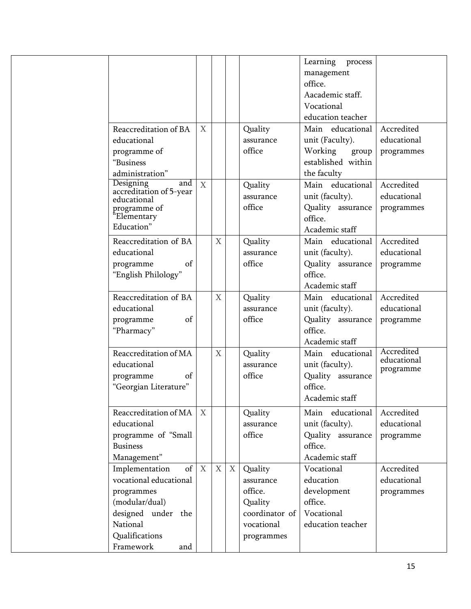|                                                                                                         |                  |             |   |                                | Learning<br>process<br>management<br>office.<br>Aacademic staff.<br>Vocational<br>education teacher |                                         |
|---------------------------------------------------------------------------------------------------------|------------------|-------------|---|--------------------------------|-----------------------------------------------------------------------------------------------------|-----------------------------------------|
| Reaccreditation of BA                                                                                   | X                |             |   | Quality                        | Main educational                                                                                    | Accredited                              |
| educational                                                                                             |                  |             |   | assurance                      | unit (Faculty).                                                                                     | educational                             |
| programme of                                                                                            |                  |             |   | office                         | Working<br>group                                                                                    | programmes                              |
| "Business                                                                                               |                  |             |   |                                | established within                                                                                  |                                         |
| administration"                                                                                         |                  |             |   |                                | the faculty                                                                                         |                                         |
| Designing<br>and<br>accreditation of 5-year<br>educational<br>programme of<br>"Elementary<br>Education" | X                |             |   | Quality<br>assurance<br>office | Main educational<br>unit (faculty).<br>Quality assurance<br>office.<br>Academic staff               | Accredited<br>educational<br>programmes |
| Reaccreditation of BA                                                                                   |                  | X           |   | Quality                        | Main educational                                                                                    | Accredited                              |
| educational                                                                                             |                  |             |   | assurance                      | unit (faculty).                                                                                     | educational                             |
| of<br>programme                                                                                         |                  |             |   | office                         | Quality assurance                                                                                   | programme                               |
| "English Philology"                                                                                     |                  |             |   |                                | office.                                                                                             |                                         |
|                                                                                                         |                  |             |   |                                | Academic staff                                                                                      |                                         |
| Reaccreditation of BA                                                                                   |                  | $\mathbf X$ |   | Quality                        | Main educational                                                                                    | Accredited                              |
| educational                                                                                             |                  |             |   | assurance                      | unit (faculty).                                                                                     | educational                             |
| of<br>programme                                                                                         |                  |             |   | office                         | Quality assurance                                                                                   | programme                               |
| "Pharmacy"                                                                                              |                  |             |   |                                | office.                                                                                             |                                         |
|                                                                                                         |                  |             |   |                                | Academic staff                                                                                      |                                         |
| Reaccreditation of MA                                                                                   |                  | X           |   | Quality                        | Main educational                                                                                    | Accredited                              |
| educational                                                                                             |                  |             |   | assurance                      | unit (faculty).                                                                                     | educational                             |
| of<br>programme                                                                                         |                  |             |   | office                         | Quality assurance                                                                                   | programme                               |
| "Georgian Literature"                                                                                   |                  |             |   |                                | office.                                                                                             |                                         |
|                                                                                                         |                  |             |   |                                | Academic staff                                                                                      |                                         |
| Reaccreditation of MA                                                                                   | $\boldsymbol{X}$ |             |   | Quality                        | Main educational                                                                                    | Accredited                              |
| educational                                                                                             |                  |             |   | assurance                      | unit (faculty).                                                                                     | educational                             |
| programme of "Small                                                                                     |                  |             |   | office                         | Quality assurance                                                                                   | programme                               |
| <b>Business</b>                                                                                         |                  |             |   |                                | office.                                                                                             |                                         |
| Management"                                                                                             |                  |             |   |                                | Academic staff                                                                                      |                                         |
| of<br>Implementation                                                                                    | $\mathbf{X}$     | $\mathbf X$ | X | Quality                        | Vocational                                                                                          | Accredited                              |
| vocational educational                                                                                  |                  |             |   | assurance                      | education                                                                                           | educational                             |
| programmes                                                                                              |                  |             |   | office.                        | development                                                                                         | programmes                              |
| (modular/dual)                                                                                          |                  |             |   | Quality                        | office.                                                                                             |                                         |
| designed under the                                                                                      |                  |             |   | coordinator of                 | Vocational                                                                                          |                                         |
| National                                                                                                |                  |             |   | vocational                     | education teacher                                                                                   |                                         |
| Qualifications                                                                                          |                  |             |   | programmes                     |                                                                                                     |                                         |
| Framework<br>and                                                                                        |                  |             |   |                                |                                                                                                     |                                         |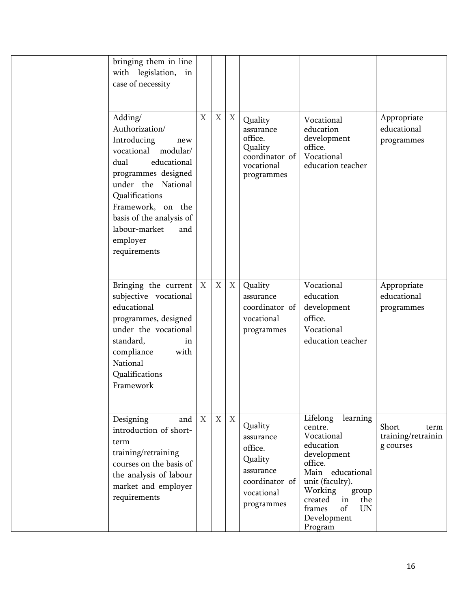| bringing them in line<br>with legislation,<br>in<br>case of necessity                                                                                                                                                                                             |                  |             |   |                                                                                                       |                                                                                                                                                                                                                                |                                                  |
|-------------------------------------------------------------------------------------------------------------------------------------------------------------------------------------------------------------------------------------------------------------------|------------------|-------------|---|-------------------------------------------------------------------------------------------------------|--------------------------------------------------------------------------------------------------------------------------------------------------------------------------------------------------------------------------------|--------------------------------------------------|
| Adding/<br>Authorization/<br>Introducing<br>new<br>vocational modular/<br>dual<br>educational<br>programmes designed<br>under the National<br>Qualifications<br>Framework, on the<br>basis of the analysis of<br>labour-market<br>and<br>employer<br>requirements | X                | $\mathbf X$ | X | Quality<br>assurance<br>office.<br>Quality<br>coordinator of<br>vocational<br>programmes              | Vocational<br>education<br>development<br>office.<br>Vocational<br>education teacher                                                                                                                                           | Appropriate<br>educational<br>programmes         |
| Bringing the current<br>subjective vocational<br>educational<br>programmes, designed<br>under the vocational<br>standard,<br>in<br>compliance<br>with<br>National<br>Qualifications<br>Framework                                                                  | $\boldsymbol{X}$ | $\mathbf X$ | X | Quality<br>assurance<br>coordinator of<br>vocational<br>programmes                                    | Vocational<br>education<br>development<br>office.<br>Vocational<br>education teacher                                                                                                                                           | Appropriate<br>educational<br>programmes         |
| Designing<br>and<br>introduction of short-<br>term<br>training/retraining<br>courses on the basis of<br>the analysis of labour<br>market and employer<br>requirements                                                                                             | $\boldsymbol{X}$ | $\mathbf X$ | X | Quality<br>assurance<br>office.<br>Quality<br>assurance<br>coordinator of<br>vocational<br>programmes | Lifelong<br>learning<br>centre.<br>Vocational<br>education<br>development<br>office.<br>Main educational<br>unit (faculty).<br>Working<br>group<br>in<br>created<br>the<br>of<br>frames<br><b>UN</b><br>Development<br>Program | Short<br>term<br>training/retrainin<br>g courses |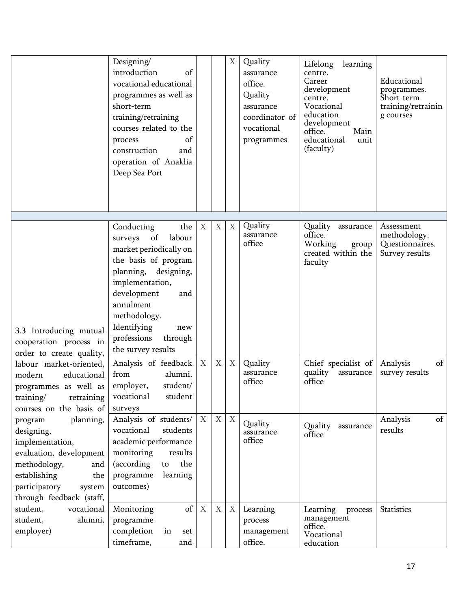|                                                                                                                                                                                       | Designing/<br>introduction<br>of<br>vocational educational<br>programmes as well as<br>short-term<br>training/retraining<br>courses related to the<br>process<br>of<br>construction<br>and<br>operation of Anaklia<br>Deep Sea Port                                |                  |                           | $X_{\mathcal{L}}$ | Quality<br>assurance<br>office.<br>Quality<br>assurance<br>coordinator of<br>vocational<br>programmes | learning<br>Lifelong<br>centre.<br>Career<br>development<br>centre.<br>Vocational<br>education<br>development<br>office.<br>Main<br>educational<br>unit<br>(faculty) | Educational<br>programmes.<br>Short-term<br>training/retrainin<br>g courses |
|---------------------------------------------------------------------------------------------------------------------------------------------------------------------------------------|--------------------------------------------------------------------------------------------------------------------------------------------------------------------------------------------------------------------------------------------------------------------|------------------|---------------------------|-------------------|-------------------------------------------------------------------------------------------------------|----------------------------------------------------------------------------------------------------------------------------------------------------------------------|-----------------------------------------------------------------------------|
| 3.3 Introducing mutual<br>cooperation process in<br>order to create quality,                                                                                                          | Conducting<br>the<br>surveys<br>of<br>labour<br>market periodically on<br>the basis of program<br>planning, designing,<br>implementation,<br>development<br>and<br>annulment<br>methodology.<br>Identifying<br>new<br>professions<br>through<br>the survey results | $\boldsymbol{X}$ | $\boldsymbol{\mathrm{X}}$ | X                 | Quality<br>assurance<br>office                                                                        | Quality<br>assurance<br>office.<br>Working<br>group<br>created within the<br>faculty                                                                                 | Assessment<br>methodology.<br>Questionnaires.<br>Survey results             |
| labour market-oriented,<br>modern<br>educational<br>programmes as well as<br>training/<br>retraining<br>courses on the basis of                                                       | Analysis of feedback<br>from<br>alumni,<br>student/<br>employer,<br>student<br>vocational<br>surveys                                                                                                                                                               | $\boldsymbol{X}$ | $\mathbf X$               | $X_{\mathcal{L}}$ | Quality<br>assurance<br>office                                                                        | Chief specialist of<br>quality<br>assurance<br>office                                                                                                                | of<br>Analysis<br>survey results                                            |
| planning,<br>program<br>designing,<br>implementation,<br>evaluation, development<br>methodology,<br>and<br>establishing<br>the<br>participatory<br>system<br>through feedback (staff, | Analysis of students/<br>vocational<br>students<br>academic performance<br>monitoring<br>results<br>the<br>(according<br>to<br>learning<br>programme<br>outcomes)                                                                                                  | $\boldsymbol{X}$ | $\mathbf X$               | $\mathbf X$       | Quality<br>assurance<br>office                                                                        | Quality<br>assurance<br>office                                                                                                                                       | Analysis<br>of<br>results                                                   |
| student,<br>vocational<br>student,<br>alumni,<br>employer)                                                                                                                            | of<br>Monitoring<br>programme<br>completion<br>in<br>set<br>timeframe,<br>and                                                                                                                                                                                      | $\boldsymbol{X}$ | X                         | $X_{\mathcal{I}}$ | Learning<br>process<br>management<br>office.                                                          | Learning<br>process<br>management<br>office.<br>Vocational<br>education                                                                                              | <b>Statistics</b>                                                           |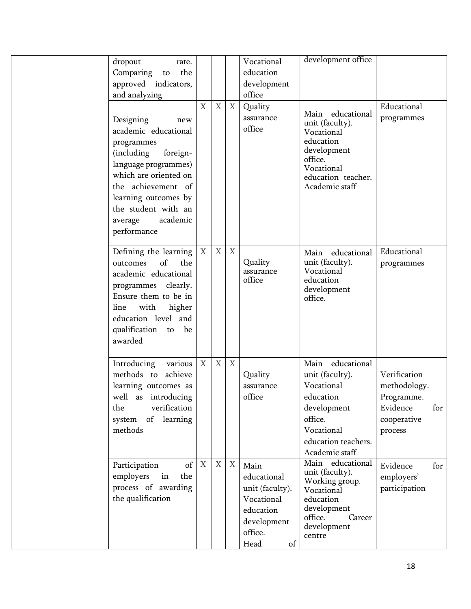| dropout<br>rate.<br>the<br>Comparing to<br>approved indicators,<br>and analyzing                                                                                                                                                              |                  |                           |                           | Vocational<br>education<br>development<br>office                                                          | development office                                                                                                                              |                                                                                         |
|-----------------------------------------------------------------------------------------------------------------------------------------------------------------------------------------------------------------------------------------------|------------------|---------------------------|---------------------------|-----------------------------------------------------------------------------------------------------------|-------------------------------------------------------------------------------------------------------------------------------------------------|-----------------------------------------------------------------------------------------|
| Designing<br>new<br>academic educational<br>programmes<br>(including)<br>foreign-<br>language programmes)<br>which are oriented on<br>the achievement of<br>learning outcomes by<br>the student with an<br>academic<br>average<br>performance | X                | $\mathbf X$               | $\mathbf X$               | Quality<br>assurance<br>office                                                                            | Main educational<br>unit (faculty).<br>Vocational<br>education<br>development<br>office.<br>Vocational<br>education teacher.<br>Academic staff  | Educational<br>programmes                                                               |
| Defining the learning<br>of<br>the<br>outcomes<br>academic educational<br>programmes clearly.<br>Ensure them to be in<br>with<br>higher<br>line<br>education level and<br>qualification to be<br>awarded                                      | $\mathbf X$      | $\mathbf X$               | $\boldsymbol{X}$          | Quality<br>assurance<br>office                                                                            | Main educational<br>unit (faculty).<br>Vocational<br>education<br>development<br>office.                                                        | Educational<br>programmes                                                               |
| Introducing<br>various<br>methods to achieve<br>learning outcomes as<br>well as introducing<br>verification<br>the<br>of<br>learning<br>system<br>methods                                                                                     | $\boldsymbol{X}$ | $\boldsymbol{\mathrm{X}}$ | $\boldsymbol{\mathrm{X}}$ | Quality<br>assurance<br>office                                                                            | Main educational<br>unit (faculty).<br>Vocational<br>education<br>development<br>office.<br>Vocational<br>education teachers.<br>Academic staff | Verification<br>methodology.<br>Programme.<br>Evidence<br>for<br>cooperative<br>process |
| Participation<br>of<br>employers<br>the<br>in<br>process of awarding<br>the qualification                                                                                                                                                     | $\boldsymbol{X}$ | $\mathbf X$               | $\boldsymbol{\mathrm{X}}$ | Main<br>educational<br>unit (faculty).<br>Vocational<br>education<br>development<br>office.<br>Head<br>of | Main educational<br>unit (faculty).<br>Working group.<br>Vocational<br>education<br>development<br>office.<br>Career<br>development<br>centre   | Evidence<br>for<br>employers'<br>participation                                          |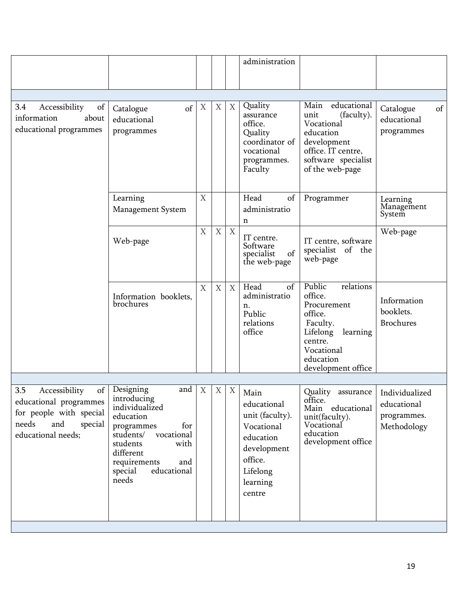|                                                                                                                                                                                                           |             |   |             | administration                                                                                                                |                                                                                                                                                          |                                                             |
|-----------------------------------------------------------------------------------------------------------------------------------------------------------------------------------------------------------|-------------|---|-------------|-------------------------------------------------------------------------------------------------------------------------------|----------------------------------------------------------------------------------------------------------------------------------------------------------|-------------------------------------------------------------|
|                                                                                                                                                                                                           |             |   |             |                                                                                                                               |                                                                                                                                                          |                                                             |
| of<br>Catalogue<br>educational<br>programmes                                                                                                                                                              | X           | Χ | X           | Quality<br>assurance<br>office.<br>Quality<br>coordinator of<br>vocational<br>programmes.<br>Faculty                          | Main<br>educational<br>unit<br>(faculty).<br>Vocational<br>education<br>development<br>office. IT centre,<br>software specialist<br>of the web-page      | of<br>Catalogue<br>educational<br>programmes                |
| Learning<br><b>Management System</b>                                                                                                                                                                      | X           |   |             | Head<br>of<br>administratio<br>n                                                                                              | Programmer                                                                                                                                               | Learning<br>Management<br>System                            |
| Web-page                                                                                                                                                                                                  | $\mathbf X$ | X | $\mathbf X$ | IT centre.<br>Software<br>specialist<br>of<br>the web-page                                                                    | IT centre, software<br>specialist of the<br>web-page                                                                                                     | Web-page                                                    |
| Information booklets,<br><b>brochures</b>                                                                                                                                                                 | X           | X | X           | Head<br>of<br>administratio<br>n.<br>Public<br>relations<br>office                                                            | Public<br>relations<br>office.<br>Procurement<br>office.<br>Faculty.<br>learning<br>Lifelong<br>centre.<br>Vocational<br>education<br>development office | Information<br>booklets.<br><b>Brochures</b>                |
|                                                                                                                                                                                                           |             |   |             |                                                                                                                               |                                                                                                                                                          |                                                             |
| Designing<br>and<br>introducing<br>individualized<br>education<br>for<br>programmes<br>vocational<br>students/<br>students<br>with<br>different<br>requirements<br>and<br>educational<br>special<br>needs | X           | X | X           | Main<br>educational<br>unit (faculty).<br>Vocational<br>education<br>development<br>office.<br>Lifelong<br>learning<br>centre | Quality<br>assurance<br>office.<br>Main educational<br>unit(faculty).<br>Vocational<br>education<br>development office                                   | Individualized<br>educational<br>programmes.<br>Methodology |
|                                                                                                                                                                                                           |             |   |             |                                                                                                                               |                                                                                                                                                          |                                                             |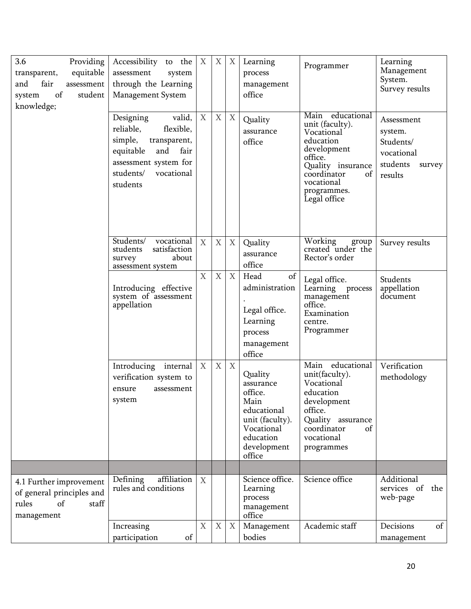| 3.6<br>Providing<br>equitable<br>transparent,<br>and<br>fair<br>assessment<br>student<br>of<br>system<br>knowledge; | Accessibility to the<br>assessment<br>system<br>through the Learning<br><b>Management System</b>                                                                     | $\boldsymbol{X}$          | X                         | $X_{\mathcal{I}}$ | Learning<br>process<br>management<br>office                                                                                   | Programmer                                                                                                                                                                      | Learning<br>Management<br>System.<br>Survey results                               |
|---------------------------------------------------------------------------------------------------------------------|----------------------------------------------------------------------------------------------------------------------------------------------------------------------|---------------------------|---------------------------|-------------------|-------------------------------------------------------------------------------------------------------------------------------|---------------------------------------------------------------------------------------------------------------------------------------------------------------------------------|-----------------------------------------------------------------------------------|
|                                                                                                                     | Designing<br>valid,<br>reliable,<br>flexible,<br>simple,<br>transparent,<br>equitable<br>and<br>fair<br>assessment system for<br>students/<br>vocational<br>students | X                         | $\boldsymbol{\mathrm{X}}$ | $X_{\mathcal{I}}$ | Quality<br>assurance<br>office                                                                                                | Main educational<br>unit (faculty).<br>Vocational<br>education<br>development<br>office.<br>Quality insurance<br>coordinator<br>of<br>vocational<br>programmes.<br>Legal office | Assessment<br>system.<br>Students/<br>vocational<br>students<br>survey<br>results |
|                                                                                                                     | Students/<br>vocational<br>satisfaction<br>students<br>about<br>survey<br>assessment system                                                                          | $\mathbf X$               | $\mathbf X$               | X                 | Quality<br>assurance<br>office                                                                                                | Working<br>group<br>created under the<br>Rector's order                                                                                                                         | Survey results                                                                    |
|                                                                                                                     | Introducing effective<br>system of assessment<br>appellation                                                                                                         | $\boldsymbol{\mathrm{X}}$ | $\mathbf X$               | X                 | Head<br>of<br>administration<br>Legal office.<br>Learning<br>process<br>management<br>office                                  | Legal office.<br>Learning process<br>management<br>office.<br>Examination<br>centre.<br>Programmer                                                                              | Students<br>appellation<br>document                                               |
|                                                                                                                     | Introducing internal<br>verification system to<br>assessment<br>ensure<br>system                                                                                     | X                         | $\mathbf X$               | X                 | Quality<br>assurance<br>office.<br>Main<br>educational<br>unit (faculty).<br>Vocational<br>education<br>development<br>office | Main educational<br>unit(faculty).<br>Vocational<br>education<br>development<br>office.<br>Quality assurance<br>coordinator<br>of<br>vocational<br>programmes                   | Verification<br>methodology                                                       |
|                                                                                                                     |                                                                                                                                                                      |                           |                           |                   |                                                                                                                               |                                                                                                                                                                                 |                                                                                   |
| 4.1 Further improvement<br>of general principles and<br>of<br>rules<br>staff<br>management                          | affiliation<br>Defining<br>rules and conditions                                                                                                                      | $\boldsymbol{X}$          |                           |                   | Science office.<br>Learning<br>process<br>management<br>office                                                                | Science office                                                                                                                                                                  | Additional<br>services of<br>the<br>web-page                                      |
|                                                                                                                     | Increasing<br>participation<br>of                                                                                                                                    | $\mathbf X$               | $\mathbf X$               | X                 | Management<br>bodies                                                                                                          | Academic staff                                                                                                                                                                  | Decisions<br>of<br>management                                                     |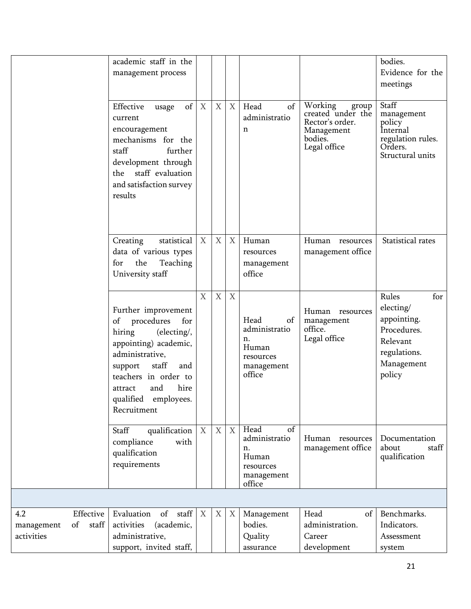|                                                               | academic staff in the<br>management process                                                                                                                                                                                             |                  |             |                   |                                                                                 |                                                                                                   | bodies.<br>Evidence for the<br>meetings                                                                     |
|---------------------------------------------------------------|-----------------------------------------------------------------------------------------------------------------------------------------------------------------------------------------------------------------------------------------|------------------|-------------|-------------------|---------------------------------------------------------------------------------|---------------------------------------------------------------------------------------------------|-------------------------------------------------------------------------------------------------------------|
|                                                               | of<br>Effective<br>usage<br>current<br>encouragement<br>mechanisms for the<br>staff<br>further<br>development through<br>the staff evaluation<br>and satisfaction survey<br>results                                                     | X                | $\mathbf X$ | $X_{\mathcal{I}}$ | Head<br>of<br>administratio<br>n                                                | Working<br>group<br>created under the<br>Rector's order.<br>Management<br>bodies.<br>Legal office | Staff<br>management<br>policy<br>Internal<br>regulation rules.<br>Orders.<br>Structural units               |
|                                                               | Creating<br>statistical<br>data of various types<br>the<br>Teaching<br>for<br>University staff                                                                                                                                          | $\boldsymbol{X}$ | $\mathbf X$ | $X_{\mathcal{I}}$ | Human<br>resources<br>management<br>office                                      | Human resources<br>management office                                                              | Statistical rates                                                                                           |
|                                                               | Further improvement<br>procedures<br>for<br>of<br>(electing/,<br>hiring<br>appointing) academic,<br>administrative,<br>support<br>staff<br>and<br>teachers in order to<br>and<br>hire<br>attract<br>qualified employees.<br>Recruitment | X                | $\mathbf X$ | $\mathbf X$       | Head<br>of<br>administratio<br>n.<br>Human<br>resources<br>management<br>office | Human resources<br>management<br>office.<br>Legal office                                          | Rules<br>for<br>electing/<br>appointing.<br>Procedures.<br>Relevant<br>regulations.<br>Management<br>policy |
|                                                               | qualification   X<br>Staff<br>with<br>compliance<br>qualification<br>requirements                                                                                                                                                       |                  | X           | X                 | Head<br>of<br>administratio<br>n.<br>Human<br>resources<br>management<br>office | Human resources<br>management office                                                              | Documentation<br>about<br>staff<br>qualification                                                            |
|                                                               |                                                                                                                                                                                                                                         |                  |             |                   |                                                                                 |                                                                                                   |                                                                                                             |
| Effective  <br>4.2<br>of<br>staff<br>management<br>activities | of staff<br>Evaluation<br>(academic,<br>activities<br>administrative,<br>support, invited staff,                                                                                                                                        | X                | X           | X                 | Management<br>bodies.<br>Quality<br>assurance                                   | Head<br>of<br>administration.<br>Career<br>development                                            | Benchmarks.<br>Indicators.<br>Assessment<br>system                                                          |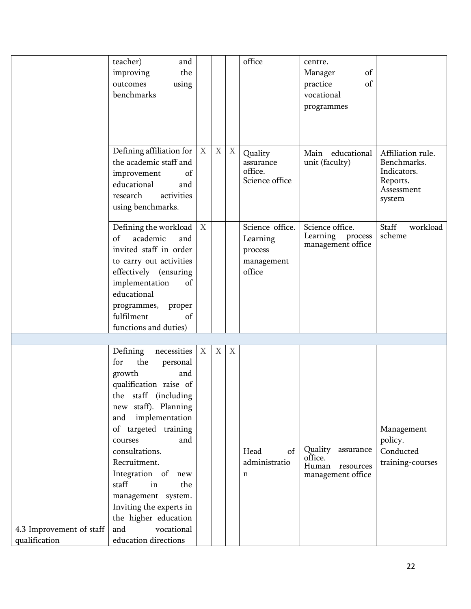|                                           | teacher)<br>and<br>the<br>improving<br>outcomes<br>using<br>benchmarks                                                                                                                                                                                                                                                                                                                                           |                  |             |             | office                                                         | centre.<br>of<br>Manager<br>of<br>practice<br>vocational<br>programmes  |                                                                                     |
|-------------------------------------------|------------------------------------------------------------------------------------------------------------------------------------------------------------------------------------------------------------------------------------------------------------------------------------------------------------------------------------------------------------------------------------------------------------------|------------------|-------------|-------------|----------------------------------------------------------------|-------------------------------------------------------------------------|-------------------------------------------------------------------------------------|
|                                           | Defining affiliation for $\mid$ X<br>the academic staff and<br>improvement<br>of<br>educational<br>and<br>activities<br>research<br>using benchmarks.                                                                                                                                                                                                                                                            |                  | $\mathbf X$ | X           | Quality<br>assurance<br>office.<br>Science office              | Main educational<br>unit (faculty)                                      | Affiliation rule.<br>Benchmarks.<br>Indicators.<br>Reports.<br>Assessment<br>system |
|                                           | Defining the workload<br>academic<br>of<br>and<br>invited staff in order<br>to carry out activities<br>effectively (ensuring<br>implementation<br>of<br>educational<br>programmes, proper<br>fulfilment<br>of<br>functions and duties)                                                                                                                                                                           | $\boldsymbol{X}$ |             |             | Science office.<br>Learning<br>process<br>management<br>office | Science office.<br>Learning process<br>management office                | Staff<br>workload<br>scheme                                                         |
|                                           |                                                                                                                                                                                                                                                                                                                                                                                                                  |                  |             |             |                                                                |                                                                         |                                                                                     |
| 4.3 Improvement of staff<br>qualification | necessities<br>Defining<br>the<br>for<br>personal<br>growth<br>and<br>qualification raise of<br>the staff (including<br>new staff). Planning<br>and implementation<br>of targeted training<br>and<br>courses<br>consultations.<br>Recruitment.<br>Integration of new<br>staff<br>in<br>the<br>management system.<br>Inviting the experts in<br>the higher education<br>vocational<br>and<br>education directions | X                | $\mathbf X$ | $\mathbf X$ | Head<br>of<br>administratio<br>n                               | Quality<br>assurance<br>office.<br>Human resources<br>management office | Management<br>policy.<br>Conducted<br>training-courses                              |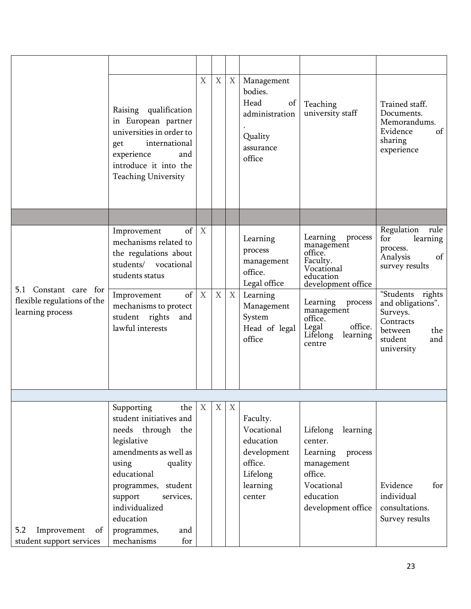|                                                                          | Raising qualification<br>in European partner<br>universities in order to<br>international<br>get<br>experience<br>and<br>introduce it into the<br><b>Teaching University</b>                                                                                             | $\boldsymbol{\mathrm{X}}$        | $\mathbf X$ | X                 | Management<br>bodies.<br>Head<br>of<br>administration<br>Quality<br>assurance<br>office                                     | Teaching<br>university staff                                                                                                                                                                                    | Trained staff.<br>Documents.<br>Memorandums.<br>Evidence<br>of<br>sharing<br>experience                                                                                                                      |
|--------------------------------------------------------------------------|--------------------------------------------------------------------------------------------------------------------------------------------------------------------------------------------------------------------------------------------------------------------------|----------------------------------|-------------|-------------------|-----------------------------------------------------------------------------------------------------------------------------|-----------------------------------------------------------------------------------------------------------------------------------------------------------------------------------------------------------------|--------------------------------------------------------------------------------------------------------------------------------------------------------------------------------------------------------------|
|                                                                          |                                                                                                                                                                                                                                                                          |                                  |             |                   |                                                                                                                             |                                                                                                                                                                                                                 |                                                                                                                                                                                                              |
| 5.1 Constant care for<br>flexible regulations of the<br>learning process | of<br>Improvement<br>mechanisms related to<br>the regulations about<br>students/ vocational<br>students status<br>of<br>Improvement<br>mechanisms to protect<br>student rights<br>and<br>lawful interests                                                                | $\mathbf{X}$<br>$\boldsymbol{X}$ | $\mathbf X$ | $X_{\mathcal{L}}$ | Learning<br>process<br>management<br>office.<br>Legal office<br>Learning<br>Management<br>System<br>Head of legal<br>office | Learning<br>process<br>management<br>office.<br>Faculty.<br>Vocational<br>education<br>development office<br>Learning<br>process<br>management<br>office.<br>office.<br>Legal<br>Lifelong<br>learning<br>centre | Regulation<br>rule<br>for<br>learning<br>process.<br>Analysis<br>of<br>survey results<br>"Students<br>rights<br>and obligations".<br>Surveys.<br>Contracts<br>between<br>the<br>student<br>and<br>university |
|                                                                          |                                                                                                                                                                                                                                                                          |                                  |             |                   |                                                                                                                             |                                                                                                                                                                                                                 |                                                                                                                                                                                                              |
| 5.2<br>Improvement<br>of<br>student support services                     | Supporting<br>the<br>student initiatives and<br>needs through the<br>legislative<br>amendments as well as<br>using<br>quality<br>educational<br>student<br>programmes,<br>support<br>services,<br>individualized<br>education<br>programmes,<br>and<br>mechanisms<br>for | $\boldsymbol{\mathrm{X}}$        | X           | X                 | Faculty.<br>Vocational<br>education<br>development<br>office.<br>Lifelong<br>learning<br>center                             | Lifelong<br>learning<br>center.<br>Learning<br>process<br>management<br>office.<br>Vocational<br>education<br>development office                                                                                | Evidence<br>for<br>individual<br>consultations.<br>Survey results                                                                                                                                            |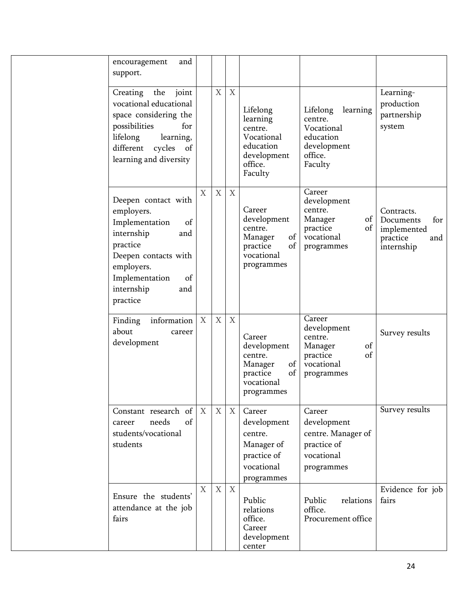| and<br>encouragement                                                                                                                                                                      |   |             |                  |                                                                                                 |                                                                                                 |                                                                                |
|-------------------------------------------------------------------------------------------------------------------------------------------------------------------------------------------|---|-------------|------------------|-------------------------------------------------------------------------------------------------|-------------------------------------------------------------------------------------------------|--------------------------------------------------------------------------------|
| support.                                                                                                                                                                                  |   |             |                  |                                                                                                 |                                                                                                 |                                                                                |
| Creating<br>the<br>joint<br>vocational educational<br>space considering the<br>possibilities<br>for<br>lifelong<br>learning,<br>different<br>cycles<br>of<br>learning and diversity       |   | $\mathbf X$ | X                | Lifelong<br>learning<br>centre.<br>Vocational<br>education<br>development<br>office.<br>Faculty | learning<br>Lifelong<br>centre.<br>Vocational<br>education<br>development<br>office.<br>Faculty | Learning-<br>production<br>partnership<br>system                               |
| Deepen contact with<br>employers.<br>Implementation<br>of<br>internship<br>and<br>practice<br>Deepen contacts with<br>employers.<br>Implementation<br>of<br>internship<br>and<br>practice | X | X           | $\boldsymbol{X}$ | Career<br>development<br>centre.<br>of<br>Manager<br>of<br>practice<br>vocational<br>programmes | Career<br>development<br>centre.<br>of<br>Manager<br>of<br>practice<br>vocational<br>programmes | Contracts.<br>Documents<br>for<br>implemented<br>practice<br>and<br>internship |
| information<br>Finding<br>about<br>career<br>development                                                                                                                                  | X | X           | X                | Career<br>development<br>centre.<br>of<br>Manager<br>of<br>practice<br>vocational<br>programmes | Career<br>development<br>centre.<br>of<br>Manager<br>of<br>practice<br>vocational<br>programmes | Survey results                                                                 |
| Constant research of<br>needs<br>of<br>career<br>students/vocational<br>students                                                                                                          | X | X           | $\boldsymbol{X}$ | Career<br>development<br>centre.<br>Manager of<br>practice of<br>vocational<br>programmes       | Career<br>development<br>centre. Manager of<br>practice of<br>vocational<br>programmes          | Survey results                                                                 |
| Ensure the students'<br>attendance at the job<br>fairs                                                                                                                                    | X | $\mathbf X$ | $\boldsymbol{X}$ | Public<br>relations<br>office.<br>Career<br>development<br>center                               | Public<br>relations<br>office.<br>Procurement office                                            | Evidence for job<br>fairs                                                      |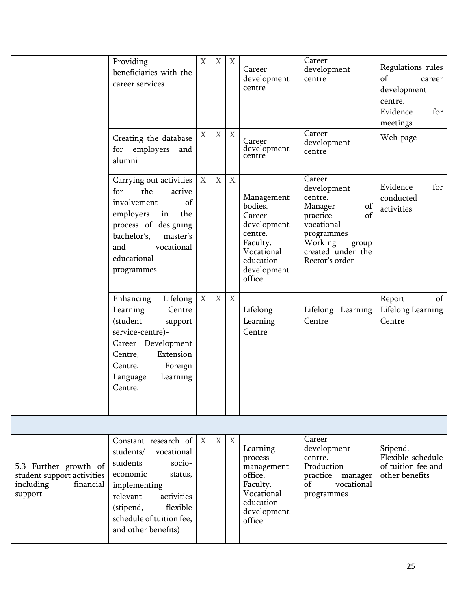|                                                                                          | Providing<br>beneficiaries with the<br>career services                                                                                                                                                                 | X           | X                | X                | Career<br>development<br>centre                                                                                           | Career<br>development<br>centre<br>Career                                                                                                                  | Regulations rules<br>of<br>career<br>development<br>centre.<br>Evidence<br>for<br>meetings |
|------------------------------------------------------------------------------------------|------------------------------------------------------------------------------------------------------------------------------------------------------------------------------------------------------------------------|-------------|------------------|------------------|---------------------------------------------------------------------------------------------------------------------------|------------------------------------------------------------------------------------------------------------------------------------------------------------|--------------------------------------------------------------------------------------------|
|                                                                                          | Creating the database<br>for employers<br>and<br>alumni                                                                                                                                                                | X           | $\boldsymbol{X}$ | $\mathbf X$      | Career<br>development<br>centre                                                                                           | development<br>centre                                                                                                                                      | Web-page                                                                                   |
|                                                                                          | Carrying out activities<br>the<br>for<br>active<br>of<br>involvement<br>employers<br>the<br>in<br>process of designing<br>bachelor's,<br>master's<br>vocational<br>and<br>educational<br>programmes                    | $\mathbf X$ | $\boldsymbol{X}$ | $\mathbf X$      | Management<br>bodies.<br>Career<br>development<br>centre.<br>Faculty.<br>Vocational<br>education<br>development<br>office | Career<br>development<br>centre.<br>of<br>Manager<br>of<br>practice<br>vocational<br>programmes<br>Working<br>group<br>created under the<br>Rector's order | Evidence<br>for<br>conducted<br>activities                                                 |
|                                                                                          | Enhancing<br>Lifelong<br>Centre<br>Learning<br>(student<br>support<br>service-centre)-<br>Career Development<br>Extension<br>Centre,<br>Foreign<br>Centre,<br>Learning<br>Language<br>Centre.                          | X           | X                | $\mathbf X$      | Lifelong<br>Learning<br>Centre                                                                                            | Lifelong Learning<br>Centre                                                                                                                                | Report<br>of<br>Lifelong Learning<br>Centre                                                |
|                                                                                          |                                                                                                                                                                                                                        |             |                  |                  |                                                                                                                           |                                                                                                                                                            |                                                                                            |
| 5.3 Further growth of<br>student support activities<br>including<br>financial<br>support | Constant research of $X$<br>students/<br>vocational<br>students<br>socio-<br>economic<br>status,<br>implementing<br>relevant<br>activities<br>flexible<br>(stipend,<br>schedule of tuition fee,<br>and other benefits) |             | X                | $\boldsymbol{X}$ | Learning<br>process<br>management<br>office.<br>Faculty.<br>Vocational<br>education<br>development<br>office              | Career<br>development<br>centre.<br>Production<br>practice manager<br>of<br>vocational<br>programmes                                                       | Stipend.<br>Flexible schedule<br>of tuition fee and<br>other benefits                      |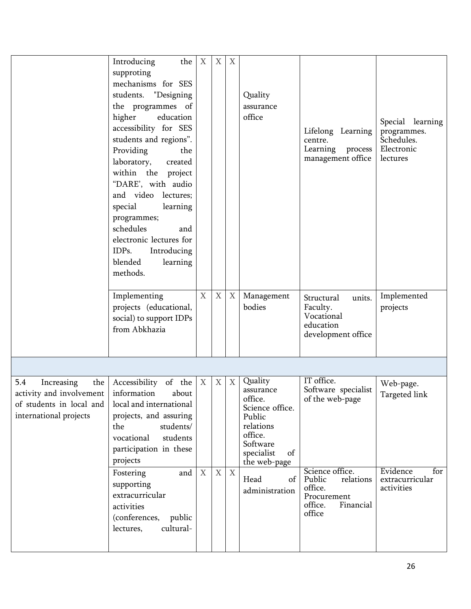|                                                                                                                            | Introducing<br>the<br>supproting<br>mechanisms for SES<br>students. "Designing<br>the programmes of<br>higher<br>education<br>accessibility for SES<br>students and regions".<br>Providing<br>the<br>laboratory,<br>created<br>within the project<br>"DARE', with audio<br>and video lectures;<br>special<br>learning<br>programmes;<br>schedules<br>and<br>electronic lectures for<br>IDPs.<br>Introducing<br>blended<br>learning<br>methods. | $\boldsymbol{X}$               | X                     | X      | Quality<br>assurance<br>office                                                                                                                                       | Lifelong Learning<br>centre.<br>Learning process<br>management office                                                                                      | Special learning<br>programmes.<br>Schedules.<br>Electronic<br>lectures        |
|----------------------------------------------------------------------------------------------------------------------------|------------------------------------------------------------------------------------------------------------------------------------------------------------------------------------------------------------------------------------------------------------------------------------------------------------------------------------------------------------------------------------------------------------------------------------------------|--------------------------------|-----------------------|--------|----------------------------------------------------------------------------------------------------------------------------------------------------------------------|------------------------------------------------------------------------------------------------------------------------------------------------------------|--------------------------------------------------------------------------------|
|                                                                                                                            | Implementing<br>projects (educational,<br>social) to support IDPs<br>from Abkhazia                                                                                                                                                                                                                                                                                                                                                             | X                              | $\mathbf X$           | X      | Management<br>bodies                                                                                                                                                 | Structural<br>units.<br>Faculty.<br>Vocational<br>education<br>development office                                                                          | Implemented<br>projects                                                        |
|                                                                                                                            |                                                                                                                                                                                                                                                                                                                                                                                                                                                |                                |                       |        |                                                                                                                                                                      |                                                                                                                                                            |                                                                                |
| 5.4<br>Increasing<br>the  <br>activity and involvement   information<br>of students in local and<br>international projects | Accessibility of the<br>about<br>local and international<br>projects, and assuring<br>students/<br>the<br>vocational<br>students<br>participation in these<br>projects<br>Fostering<br>and<br>supporting<br>extracurricular<br>activities<br>(conferences, public<br>cultural-<br>lectures,                                                                                                                                                    | $\boldsymbol{\mathrm{X}}$<br>X | X<br>$\boldsymbol{X}$ | X<br>X | Quality<br>assurance<br>office.<br>Science office.<br>Public<br>relations<br>office.<br>Software<br>specialist<br>of<br>the web-page<br>Head<br>of<br>administration | IT office.<br>Software specialist<br>of the web-page<br>Science office.<br>Public<br>relations<br>office.<br>Procurement<br>Financial<br>office.<br>office | Web-page.<br>Targeted link<br>Evidence<br>for<br>extracurricular<br>activities |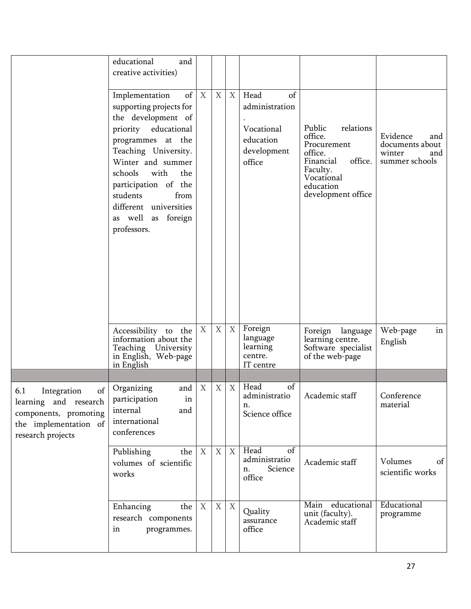|                                                                                                                          | educational<br>and<br>creative activities)                                                                                                                                                                                                                                                           |                  |   |   |                                                                                  |                                                                                                                                               |                                                                       |
|--------------------------------------------------------------------------------------------------------------------------|------------------------------------------------------------------------------------------------------------------------------------------------------------------------------------------------------------------------------------------------------------------------------------------------------|------------------|---|---|----------------------------------------------------------------------------------|-----------------------------------------------------------------------------------------------------------------------------------------------|-----------------------------------------------------------------------|
|                                                                                                                          | of<br>Implementation<br>supporting projects for<br>the development of<br>priority educational<br>programmes at the<br>Teaching University.<br>Winter and summer<br>schools<br>with<br>the<br>participation of the<br>students<br>from<br>different universities<br>as well as foreign<br>professors. | X                | X | X | Head<br>of<br>administration<br>Vocational<br>education<br>development<br>office | relations<br>Public<br>office.<br>Procurement<br>office.<br>office.<br>Financial<br>Faculty.<br>Vocational<br>education<br>development office | Evidence<br>and<br>documents about<br>winter<br>and<br>summer schools |
|                                                                                                                          | Accessibility to the<br>information about the<br>Teaching University<br>in English, Web-page<br>in English                                                                                                                                                                                           | $\boldsymbol{X}$ | X | X | Foreign<br>language<br>learning<br>centre.<br>IT centre                          | Foreign language<br>learning centre.<br>Software specialist<br>of the web-page                                                                | Web-page<br>in<br>English                                             |
|                                                                                                                          |                                                                                                                                                                                                                                                                                                      |                  |   |   |                                                                                  |                                                                                                                                               |                                                                       |
| of<br>6.1<br>Integration<br>learning and research<br>components, promoting<br>the implementation of<br>research projects | Organizing<br>and<br>participation<br>in<br>internal<br>and<br>international<br>conferences                                                                                                                                                                                                          | X                | X | X | of<br>Head<br>n.<br>Science office                                               | administratio   Academic staff                                                                                                                | Conference<br>material                                                |
|                                                                                                                          | Publishing<br>the<br>volumes of scientific<br>works                                                                                                                                                                                                                                                  | X                | X | X | Head<br>of<br>administratio<br>Science<br>n.<br>office                           | Academic staff                                                                                                                                | Volumes<br>of<br>scientific works                                     |
|                                                                                                                          | Enhancing<br>the<br>research components<br>programmes.<br>in                                                                                                                                                                                                                                         | X                | X | X | Quality<br>assurance<br>office                                                   | Main educational<br>unit (faculty).<br>Academic staff                                                                                         | Educational<br>programme                                              |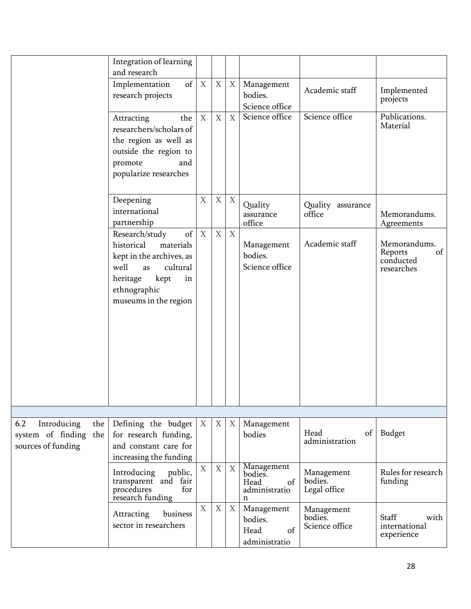|                                                                            | Integration of learning<br>and research                                                                                                                                  |                           |                  |                           |                                                           |                                         |                                                          |
|----------------------------------------------------------------------------|--------------------------------------------------------------------------------------------------------------------------------------------------------------------------|---------------------------|------------------|---------------------------|-----------------------------------------------------------|-----------------------------------------|----------------------------------------------------------|
|                                                                            | Implementation<br>of<br>research projects                                                                                                                                | $\mathbf{X}$              | $\mathbf X$      | X                         | Management<br>bodies.<br>Science office                   | Academic staff                          | Implemented<br>projects                                  |
|                                                                            | Attracting<br>the<br>researchers/scholars of<br>the region as well as<br>outside the region to<br>promote<br>and<br>popularize researches                                | $\boldsymbol{X}$          | $\mathbf X$      | $\mathbf X$               | Science office                                            | Science office                          | Publications.<br>Material                                |
|                                                                            | Deepening<br>international<br>partnership                                                                                                                                | $\mathbf X$               | $\boldsymbol{X}$ | X                         | Quality<br>assurance<br>office                            | Quality assurance<br>office             | Memorandums.<br>Agreements                               |
|                                                                            | of<br>Research/study<br>historical<br>materials<br>kept in the archives, as<br>well<br>cultural<br>as<br>heritage<br>kept<br>in<br>ethnographic<br>museums in the region | X                         | $\mathbf X$      | X                         | Management<br>bodies.<br>Science office                   | Academic staff                          | Memorandums.<br>Reports<br>of<br>conducted<br>researches |
|                                                                            |                                                                                                                                                                          |                           |                  |                           |                                                           |                                         |                                                          |
| 6.2<br>Introducing<br>the  <br>system of finding the<br>sources of funding | Defining the budget<br>for research funding,<br>and constant care for<br>increasing the funding                                                                          | $\boldsymbol{\mathrm{X}}$ | X                | $\boldsymbol{\mathrm{X}}$ | Management<br>bodies                                      | Head<br>$\sigma$<br>administration      | Budget                                                   |
|                                                                            | Introducing<br>public,<br>transparent and fair<br>procedures<br>for<br>research funding                                                                                  | $\mathbf X$               | $\overline{X}$   | X                         | Management<br>bodies.<br>Head<br>of<br>administratio<br>n | Management<br>bodies.<br>Legal office   | Rules for research<br>funding                            |
|                                                                            | business<br>Attracting<br>sector in researchers                                                                                                                          | $\boldsymbol{\mathrm{X}}$ | X                | $X_{\mathcal{L}}$         | Management<br>bodies.<br>Head<br>of<br>administratio      | Management<br>bodies.<br>Science office | Staff<br>with<br>international<br>experience             |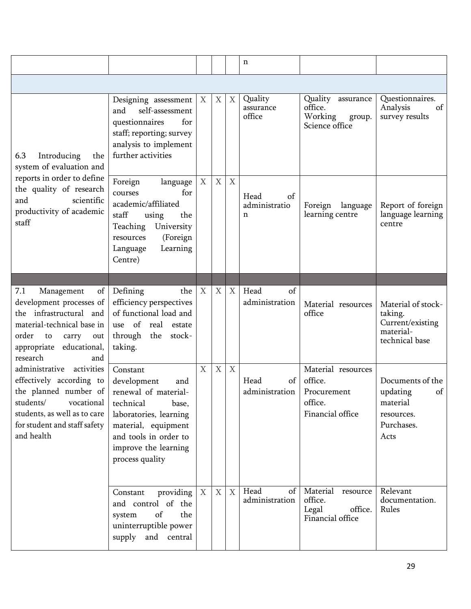|                                                                                                                                                                                               |                                                                                                                                                                                                   |                           |                  |                   | n                                |                                                                             |                                                                                    |
|-----------------------------------------------------------------------------------------------------------------------------------------------------------------------------------------------|---------------------------------------------------------------------------------------------------------------------------------------------------------------------------------------------------|---------------------------|------------------|-------------------|----------------------------------|-----------------------------------------------------------------------------|------------------------------------------------------------------------------------|
|                                                                                                                                                                                               |                                                                                                                                                                                                   |                           |                  |                   |                                  |                                                                             |                                                                                    |
| 6.3<br>Introducing<br>the<br>system of evaluation and                                                                                                                                         | Designing assessment<br>self-assessment<br>and<br>for<br>questionnaires<br>staff; reporting; survey<br>analysis to implement<br>further activities                                                | $\boldsymbol{\mathrm{X}}$ | X                | X                 | Quality<br>assurance<br>office   | Quality assurance<br>office.<br>Working<br>group.<br>Science office         | Questionnaires.<br>Analysis<br>of<br>survey results                                |
| reports in order to define<br>the quality of research<br>and<br>scientific<br>productivity of academic<br>staff                                                                               | Foreign<br>language<br>for<br>courses<br>academic/affiliated<br>staff<br>using<br>the<br>Teaching<br>University<br>(Foreign<br>resources<br>Learning<br>Language<br>Centre)                       | $\boldsymbol{X}$          | $\mathbf X$      | X                 | Head<br>of<br>administratio<br>n | Foreign<br>language<br>learning centre                                      | Report of foreign<br>language learning<br>centre                                   |
|                                                                                                                                                                                               |                                                                                                                                                                                                   |                           |                  |                   |                                  |                                                                             |                                                                                    |
| 7.1<br>of<br>Management<br>development processes of<br>the infrastructural and<br>material-technical base in<br>order<br>to<br>carry<br>out<br>appropriate<br>educational,<br>research<br>and | Defining<br>the<br>efficiency perspectives<br>of functional load and<br>use of<br>real<br>estate<br>through<br>the<br>stock-<br>taking.                                                           | X                         | $\boldsymbol{X}$ | X                 | Head<br>of<br>administration     | Material resources<br>office                                                | Material of stock-<br>taking.<br>Current/existing<br>material-<br>technical base   |
| administrative<br>activities<br>effectively according to<br>the planned number of<br>students/<br>vocational<br>students, as well as to care<br>for student and staff safety<br>and health    | Constant<br>development<br>and<br>renewal of material-<br>technical<br>base,<br>laboratories, learning<br>material, equipment<br>and tools in order to<br>improve the learning<br>process quality | $\boldsymbol{\mathrm{X}}$ | $\mathbf X$      | X                 | Head<br>of<br>administration     | Material resources<br>office.<br>Procurement<br>office.<br>Financial office | Documents of the<br>updating<br>of<br>material<br>resources.<br>Purchases.<br>Acts |
|                                                                                                                                                                                               | providing $\mid$ X<br>Constant<br>and control of the<br>of<br>the<br>system<br>uninterruptible power<br>supply<br>and central                                                                     |                           | $\mathbf X$      | $X_{\mathcal{L}}$ | Head<br>of<br>administration     | Material<br>resource<br>office.<br>Legal<br>office.<br>Financial office     | Relevant<br>documentation.<br>Rules                                                |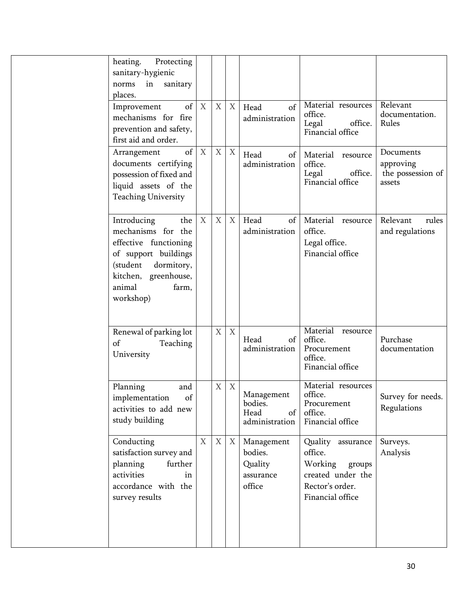| heating.<br>Protecting<br>sanitary-hygienic<br>in sanitary<br>norms<br>places.                                                                                              |                  |                  |             |                                                         |                                                                                                               |                                                       |
|-----------------------------------------------------------------------------------------------------------------------------------------------------------------------------|------------------|------------------|-------------|---------------------------------------------------------|---------------------------------------------------------------------------------------------------------------|-------------------------------------------------------|
| of<br>Improvement<br>mechanisms for fire<br>prevention and safety,<br>first aid and order.                                                                                  | $\boldsymbol{X}$ | $\boldsymbol{X}$ | X           | Head<br>of<br>administration                            | Material resources<br>office.<br>Legal<br>office.<br>Financial office                                         | Relevant<br>documentation.<br>Rules                   |
| of<br>Arrangement<br>documents certifying<br>possession of fixed and<br>liquid assets of the<br><b>Teaching University</b>                                                  | X                | $\mathbf X$      | $\mathbf X$ | Head<br>of<br>administration                            | Material<br>resource<br>office.<br>office.<br>Legal<br>Financial office                                       | Documents<br>approving<br>the possession of<br>assets |
| Introducing<br>the<br>mechanisms for the<br>effective functioning<br>of support buildings<br>(student<br>dormitory,<br>kitchen, greenhouse,<br>animal<br>farm,<br>workshop) | $\boldsymbol{X}$ | $\boldsymbol{X}$ | X           | Head<br>of<br>administration                            | Material resource<br>office.<br>Legal office.<br>Financial office                                             | Relevant<br>rules<br>and regulations                  |
| Renewal of parking lot<br>of<br>Teaching<br>University                                                                                                                      |                  | $\mathbf X$      | $\mathbf X$ | Head<br>of<br>administration                            | Material resource<br>office.<br>Procurement<br>office.<br>Financial office                                    | Purchase<br>documentation                             |
| Planning<br>and<br>of<br>implementation<br>activities to add new<br>study building                                                                                          |                  | X                | X           | Management<br>bodies.<br>Head<br>of<br>administration   | Material resources<br>office.<br>Procurement<br>office.<br>Financial office                                   | Survey for needs.<br>Regulations                      |
| Conducting<br>satisfaction survey and<br>planning<br>further<br>activities<br>in<br>accordance with the<br>survey results                                                   | $\mathbf X$      | $\boldsymbol{X}$ | X           | Management<br>bodies.<br>Quality<br>assurance<br>office | Quality assurance<br>office.<br>Working<br>groups<br>created under the<br>Rector's order.<br>Financial office | Surveys.<br>Analysis                                  |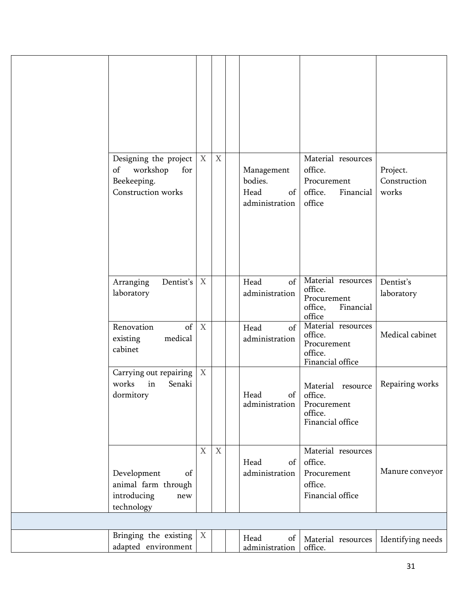| Designing the project<br>workshop<br>of<br>for<br>Beekeeping.<br>Construction works | $\boldsymbol{X}$          | $\mathbf X$ | Management<br>bodies.<br>Head<br>of<br>administration | Material resources<br>office.<br>Procurement<br>office.<br>Financial<br>office | Project.<br>Construction<br>works |
|-------------------------------------------------------------------------------------|---------------------------|-------------|-------------------------------------------------------|--------------------------------------------------------------------------------|-----------------------------------|
| Dentist's<br>Arranging<br>laboratory                                                | $\boldsymbol{X}$          |             | of<br>Head<br>administration                          | Material resources<br>office.<br>Procurement<br>Financial<br>office,<br>office | Dentist's<br>laboratory           |
| Renovation<br>of<br>medical<br>existing<br>cabinet                                  | $\boldsymbol{X}$          |             | of<br>Head<br>administration                          | Material resources<br>office.<br>Procurement<br>office.<br>Financial office    | Medical cabinet                   |
| Carrying out repairing<br>works<br>in<br>Senaki<br>dormitory                        | $\boldsymbol{\mathrm{X}}$ |             | Head<br>administration                                | Material resource<br>of office.<br>Procurement<br>office.<br>Financial office  | Repairing works                   |
| Development<br>of<br>animal farm through<br>introducing<br>new<br>technology        | $\boldsymbol{X}$          | X           | Head<br>of<br>administration                          | Material resources<br>office.<br>Procurement<br>office.<br>Financial office    | Manure conveyor                   |
|                                                                                     |                           |             |                                                       |                                                                                |                                   |
| Bringing the existing<br>adapted environment                                        | X                         |             | Head<br>of<br>administration                          | Material resources<br>office.                                                  | Identifying needs                 |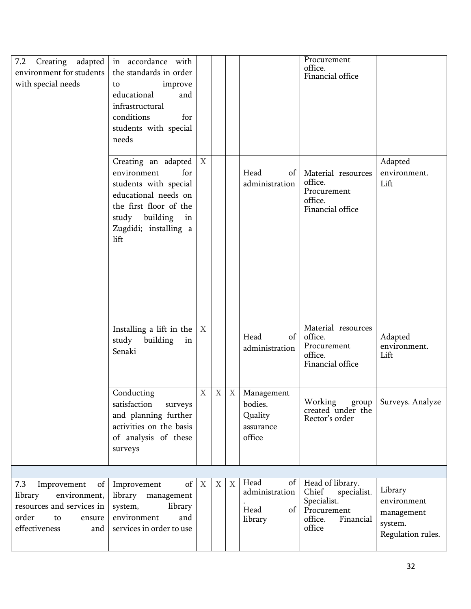| 7.2 Creating adapted<br>environment for students<br>with special needs                                                            | in accordance with<br>the standards in order<br>improve<br>to<br>educational<br>and<br>infrastructural<br>conditions<br>for<br>students with special<br>needs                 |                           |              |   |                                                         | Procurement<br>office.<br>Financial office                                                               |                                                                      |
|-----------------------------------------------------------------------------------------------------------------------------------|-------------------------------------------------------------------------------------------------------------------------------------------------------------------------------|---------------------------|--------------|---|---------------------------------------------------------|----------------------------------------------------------------------------------------------------------|----------------------------------------------------------------------|
|                                                                                                                                   | Creating an adapted<br>environment<br>for<br>students with special<br>educational needs on<br>the first floor of the<br>study building<br>in<br>Zugdidi; installing a<br>lift | $\boldsymbol{\mathrm{X}}$ |              |   | Head<br>of<br>administration                            | Material resources<br>office.<br>Procurement<br>office.<br>Financial office                              | Adapted<br>environment.<br>Lift                                      |
|                                                                                                                                   | Installing a lift in the<br>study<br>building<br>in<br>Senaki                                                                                                                 | X                         |              |   | Head<br>of<br>administration                            | Material resources<br>office.<br>Procurement<br>office.<br>Financial office                              | Adapted<br>environment.<br>Lift                                      |
|                                                                                                                                   | Conducting<br>satisfaction<br>surveys<br>and planning further<br>activities on the basis<br>of analysis of these<br>surveys                                                   | X                         | $\mathbf{X}$ | X | Management<br>bodies.<br>Quality<br>assurance<br>office | Working<br>group<br>created under the<br>Rector's order                                                  | Surveys. Analyze                                                     |
|                                                                                                                                   |                                                                                                                                                                               |                           |              |   |                                                         |                                                                                                          |                                                                      |
| 7.3<br>of<br>Improvement<br>environment,<br>library<br>resources and services in<br>order<br>to<br>ensure<br>effectiveness<br>and | of<br>Improvement<br>library management<br>system,<br>library<br>environment<br>and<br>services in order to use                                                               | $\boldsymbol{\mathrm{X}}$ | X            | X | Head<br>of<br>administration<br>Head<br>of<br>library   | Head of library.<br>Chief<br>specialist.<br>Specialist.<br>Procurement<br>Financial<br>office.<br>office | Library<br>environment<br>management<br>system.<br>Regulation rules. |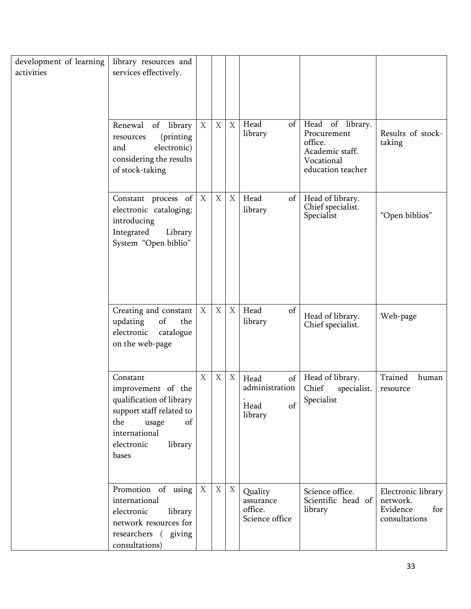| development of learning<br>activities | library resources and<br>services effectively.<br>Renewal<br>of library<br>(printing<br>resources<br>electronic)<br>and<br>considering the results<br>of stock-taking | $\boldsymbol{X}$ | $\mathbf X$ | $\overline{X}$            | Head<br>of<br>library                                 | Head of library.<br>Procurement<br>office.<br>Academic staff.<br>Vocational<br>education teacher | Results of stock-<br>taking                                        |
|---------------------------------------|-----------------------------------------------------------------------------------------------------------------------------------------------------------------------|------------------|-------------|---------------------------|-------------------------------------------------------|--------------------------------------------------------------------------------------------------|--------------------------------------------------------------------|
|                                       | Constant process of<br>electronic cataloging;<br>introducing<br>Integrated<br>Library<br>System "Open biblio"                                                         | X                | $\mathbf X$ | $\boldsymbol{\mathrm{X}}$ | Head<br>of<br>library                                 | Head of library.<br>Chief specialist.<br>Specialist                                              | "Open biblios"                                                     |
|                                       | Creating and constant<br>of<br>updating<br>the<br>electronic<br>catalogue<br>on the web-page                                                                          | $\boldsymbol{X}$ | $\mathbf X$ | X                         | Head<br>of<br>library                                 | Head of library.<br>Chief specialist.                                                            | Web-page                                                           |
|                                       | Constant<br>improvement of the<br>qualification of library<br>support staff related to<br>the<br>of<br>usage<br>international<br>electronic<br>library<br>bases       | X                | X           | X                         | of<br>Head<br>administration<br>Head<br>of<br>library | Head of library.<br>Chief<br>specialist.<br>Specialist                                           | Trained<br>human<br>resource                                       |
|                                       | Promotion of using<br>international<br>electronic<br>library<br>network resources for<br>researchers (giving<br>consultations)                                        | $\boldsymbol{X}$ | X           | X                         | Quality<br>assurance<br>office.<br>Science office     | Science office.<br>Scientific head of<br>library                                                 | Electronic library<br>network.<br>Evidence<br>for<br>consultations |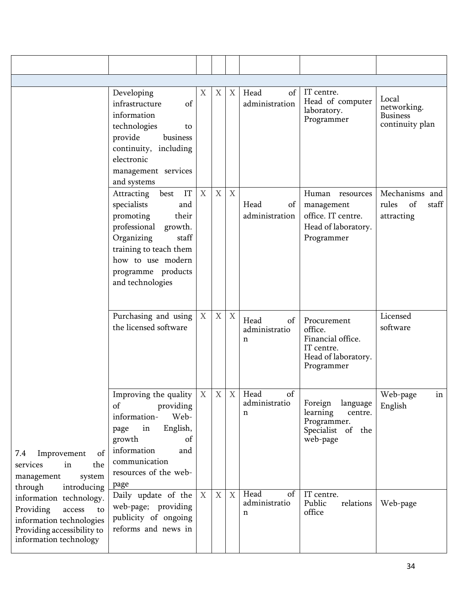|                                                                                                                                          | Developing<br>infrastructure<br>of<br>information<br>technologies<br>to<br>provide<br>business<br>continuity, including<br>electronic<br>management services<br>and systems                                                      | X                | X           | X                         | Head<br>of<br>administration     | IT centre.<br>Head of computer<br>laboratory.<br>Programmer                                    | Local<br>networking.<br><b>Business</b><br>continuity plan |
|------------------------------------------------------------------------------------------------------------------------------------------|----------------------------------------------------------------------------------------------------------------------------------------------------------------------------------------------------------------------------------|------------------|-------------|---------------------------|----------------------------------|------------------------------------------------------------------------------------------------|------------------------------------------------------------|
|                                                                                                                                          | IT<br>Attracting<br>best<br>specialists<br>and<br>promoting<br>their<br>professional<br>growth.<br>Organizing<br>$\operatorname{staff}$<br>training to teach them<br>how to use modern<br>programme products<br>and technologies | $\boldsymbol{X}$ | $\mathbf X$ | $\boldsymbol{X}$          | Head<br>of<br>administration     | Human<br>resources<br>management<br>office. IT centre.<br>Head of laboratory.<br>Programmer    | Mechanisms and<br>of<br>rules<br>staff<br>attracting       |
|                                                                                                                                          | Purchasing and using<br>the licensed software                                                                                                                                                                                    | X                | $\mathbf X$ | X                         | Head<br>of<br>administratio<br>n | Procurement<br>office.<br>Financial office.<br>IT centre.<br>Head of laboratory.<br>Programmer | Licensed<br>software                                       |
| of<br>Improvement<br>7.4<br>services<br>in<br>the<br>management<br>system<br>through<br>introducing                                      | Improving the quality<br>providing<br>of<br>Web-<br>information-<br>English,<br>in<br>page<br>growth<br>of<br>information<br>and<br>communication<br>resources of the web-<br>page                                               | X                | X           | X                         | of<br>Head<br>administratio<br>n | Foreign<br>language<br>centre.<br>learning<br>Programmer.<br>Specialist of the<br>web-page     | Web-page<br>in<br>English                                  |
| information technology.<br>Providing<br>access<br>to<br>information technologies<br>Providing accessibility to<br>information technology | Daily update of the<br>web-page; providing<br>publicity of ongoing<br>reforms and news in                                                                                                                                        | $\mathbf{X}$     | $\mathbf X$ | $\boldsymbol{\mathrm{X}}$ | Head<br>of<br>administratio<br>n | IT centre.<br>Public<br>relations<br>office                                                    | Web-page                                                   |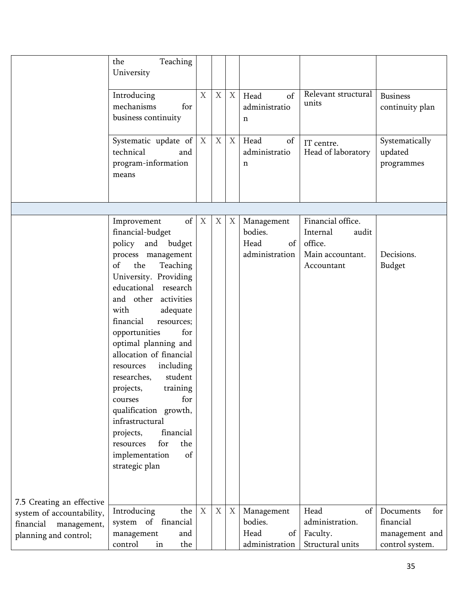|                                                                                | Teaching<br>the<br>University<br>Introducing<br>mechanisms<br>for<br>business continuity<br>Systematic update of $ X $<br>technical<br>and<br>program-information                                                                                                                                                                                                                                                                                                                                                                                        | $\mathbf X$ | $\mathbf X$<br>$\mathbf X$ | X<br>X            | Head<br>of<br>administratio<br>n<br>Head<br>of<br>administratio<br>n | Relevant structural<br>units<br>IT centre.<br>Head of laboratory                    | <b>Business</b><br>continuity plan<br>Systematically<br>updated<br>programmes |
|--------------------------------------------------------------------------------|----------------------------------------------------------------------------------------------------------------------------------------------------------------------------------------------------------------------------------------------------------------------------------------------------------------------------------------------------------------------------------------------------------------------------------------------------------------------------------------------------------------------------------------------------------|-------------|----------------------------|-------------------|----------------------------------------------------------------------|-------------------------------------------------------------------------------------|-------------------------------------------------------------------------------|
|                                                                                | means                                                                                                                                                                                                                                                                                                                                                                                                                                                                                                                                                    |             |                            |                   |                                                                      |                                                                                     |                                                                               |
| 7.5 Creating an effective                                                      | Improvement<br>financial-budget<br>policy and budget<br>process management<br>the<br>of<br>Teaching<br>University. Providing<br>educational research<br>and other activities<br>adequate<br>with<br>financial<br>resources;<br>opportunities<br>for<br>optimal planning and<br>allocation of financial<br>resources<br>including<br>student<br>researches,<br>projects,<br>training<br>for<br>courses<br>qualification growth,<br>infrastructural<br>financial<br>projects,<br>for<br>the<br>resources<br>$\sigma f$<br>implementation<br>strategic plan | of X        | $\boldsymbol{X}$           | $X_{\mathcal{L}}$ | Management<br>bodies.<br>of<br>Head<br>administration                | Financial office.<br>Internal<br>audit<br>office.<br>Main accountant.<br>Accountant | Decisions.<br><b>Budget</b>                                                   |
| system of accountability,<br>financial<br>management,<br>planning and control; | Introducing<br>the<br>system of financial<br>management<br>and<br>control<br>the<br>in                                                                                                                                                                                                                                                                                                                                                                                                                                                                   | X           | $\mathbf X$                | $X_{\mathcal{I}}$ | Management<br>bodies.<br>Head<br>of<br>administration                | Head<br>of<br>administration.<br>Faculty.<br>Structural units                       | for<br>Documents<br>financial<br>management and<br>control system.            |